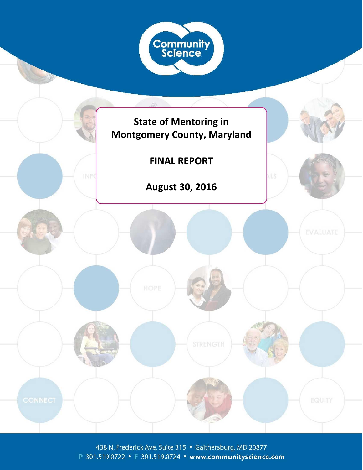

438 N. Frederick Ave, Suite 315 • Gaithersburg, MD 20877 P 301.519.0722 • F 301.519.0724 • www.communityscience.com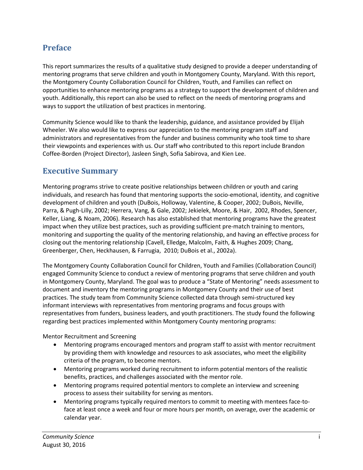## <span id="page-1-0"></span>**Preface**

This report summarizes the results of a qualitative study designed to provide a deeper understanding of mentoring programs that serve children and youth in Montgomery County, Maryland. With this report, the Montgomery County Collaboration Council for Children, Youth, and Families can reflect on opportunities to enhance mentoring programs as a strategy to support the development of children and youth. Additionally, this report can also be used to reflect on the needs of mentoring programs and ways to support the utilization of best practices in mentoring.

Community Science would like to thank the leadership, guidance, and assistance provided by Elijah Wheeler. We also would like to express our appreciation to the mentoring program staff and administrators and representatives from the funder and business community who took time to share their viewpoints and experiences with us. Our staff who contributed to this report include Brandon Coffee-Borden (Project Director), Jasleen Singh, Sofia Sabirova, and Kien Lee.

## <span id="page-1-1"></span>**Executive Summary**

Mentoring programs strive to create positive relationships between children or youth and caring individuals, and research has found that mentoring supports the socio-emotional, identity, and cognitive development of children and youth (DuBois, Holloway, Valentine, & Cooper, 2002; DuBois, Neville, Parra, & Pugh-Lilly, 2002; Herrera, Vang, & Gale, 2002; Jekielek, Moore, & Hair, 2002, Rhodes, Spencer, Keller, Liang, & Noam, 2006). Research has also established that mentoring programs have the greatest impact when they utilize best practices, such as providing sufficient pre-match training to mentors, monitoring and supporting the quality of the mentoring relationship, and having an effective process for closing out the mentoring relationship (Cavell, Elledge, Malcolm, Faith, & Hughes 2009; Chang, Greenberger, Chen, Heckhausen, & Farrugia, 2010; DuBois et al., 2002a).

The Montgomery County Collaboration Council for Children, Youth and Families (Collaboration Council) engaged Community Science to conduct a review of mentoring programs that serve children and youth in Montgomery County, Maryland. The goal was to produce a "State of Mentoring" needs assessment to document and inventory the mentoring programs in Montgomery County and their use of best practices. The study team from Community Science collected data through semi-structured key informant interviews with representatives from mentoring programs and focus groups with representatives from funders, business leaders, and youth practitioners. The study found the following regarding best practices implemented within Montgomery County mentoring programs:

Mentor Recruitment and Screening

- Mentoring programs encouraged mentors and program staff to assist with mentor recruitment by providing them with knowledge and resources to ask associates, who meet the eligibility criteria of the program, to become mentors.
- Mentoring programs worked during recruitment to inform potential mentors of the realistic benefits, practices, and challenges associated with the mentor role.
- Mentoring programs required potential mentors to complete an interview and screening process to assess their suitability for serving as mentors.
- Mentoring programs typically required mentors to commit to meeting with mentees face-toface at least once a week and four or more hours per month, on average, over the academic or calendar year.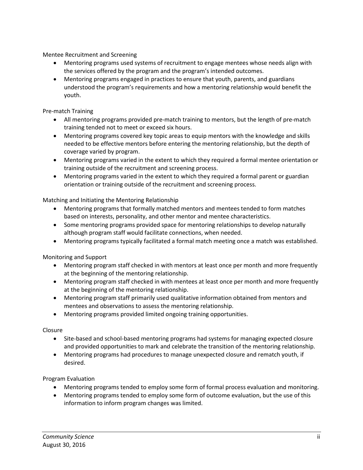Mentee Recruitment and Screening

- Mentoring programs used systems of recruitment to engage mentees whose needs align with the services offered by the program and the program's intended outcomes.
- Mentoring programs engaged in practices to ensure that youth, parents, and guardians understood the program's requirements and how a mentoring relationship would benefit the youth.

Pre-match Training

- All mentoring programs provided pre-match training to mentors, but the length of pre-match training tended not to meet or exceed six hours.
- Mentoring programs covered key topic areas to equip mentors with the knowledge and skills needed to be effective mentors before entering the mentoring relationship, but the depth of coverage varied by program.
- Mentoring programs varied in the extent to which they required a formal mentee orientation or training outside of the recruitment and screening process.
- Mentoring programs varied in the extent to which they required a formal parent or guardian orientation or training outside of the recruitment and screening process.

Matching and Initiating the Mentoring Relationship

- Mentoring programs that formally matched mentors and mentees tended to form matches based on interests, personality, and other mentor and mentee characteristics.
- Some mentoring programs provided space for mentoring relationships to develop naturally although program staff would facilitate connections, when needed.
- Mentoring programs typically facilitated a formal match meeting once a match was established.

Monitoring and Support

- Mentoring program staff checked in with mentors at least once per month and more frequently at the beginning of the mentoring relationship.
- Mentoring program staff checked in with mentees at least once per month and more frequently at the beginning of the mentoring relationship.
- Mentoring program staff primarily used qualitative information obtained from mentors and mentees and observations to assess the mentoring relationship.
- Mentoring programs provided limited ongoing training opportunities.

Closure

- Site-based and school-based mentoring programs had systems for managing expected closure and provided opportunities to mark and celebrate the transition of the mentoring relationship.
- Mentoring programs had procedures to manage unexpected closure and rematch youth, if desired.

Program Evaluation

- Mentoring programs tended to employ some form of formal process evaluation and monitoring.
- Mentoring programs tended to employ some form of outcome evaluation, but the use of this information to inform program changes was limited.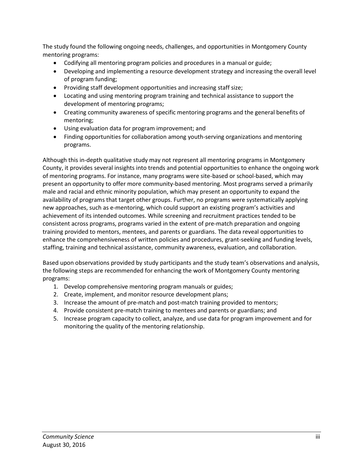The study found the following ongoing needs, challenges, and opportunities in Montgomery County mentoring programs:

- Codifying all mentoring program policies and procedures in a manual or guide;
- Developing and implementing a resource development strategy and increasing the overall level of program funding;
- Providing staff development opportunities and increasing staff size;
- Locating and using mentoring program training and technical assistance to support the development of mentoring programs;
- Creating community awareness of specific mentoring programs and the general benefits of mentoring;
- Using evaluation data for program improvement; and
- Finding opportunities for collaboration among youth-serving organizations and mentoring programs.

Although this in-depth qualitative study may not represent all mentoring programs in Montgomery County, it provides several insights into trends and potential opportunities to enhance the ongoing work of mentoring programs. For instance, many programs were site-based or school-based, which may present an opportunity to offer more community-based mentoring. Most programs served a primarily male and racial and ethnic minority population, which may present an opportunity to expand the availability of programs that target other groups. Further, no programs were systematically applying new approaches, such as e-mentoring, which could support an existing program's activities and achievement of its intended outcomes. While screening and recruitment practices tended to be consistent across programs, programs varied in the extent of pre-match preparation and ongoing training provided to mentors, mentees, and parents or guardians. The data reveal opportunities to enhance the comprehensiveness of written policies and procedures, grant-seeking and funding levels, staffing, training and technical assistance, community awareness, evaluation, and collaboration.

Based upon observations provided by study participants and the study team's observations and analysis, the following steps are recommended for enhancing the work of Montgomery County mentoring programs:

- 1. Develop comprehensive mentoring program manuals or guides;
- 2. Create, implement, and monitor resource development plans;
- 3. Increase the amount of pre-match and post-match training provided to mentors;
- 4. Provide consistent pre-match training to mentees and parents or guardians; and
- 5. Increase program capacity to collect, analyze, and use data for program improvement and for monitoring the quality of the mentoring relationship.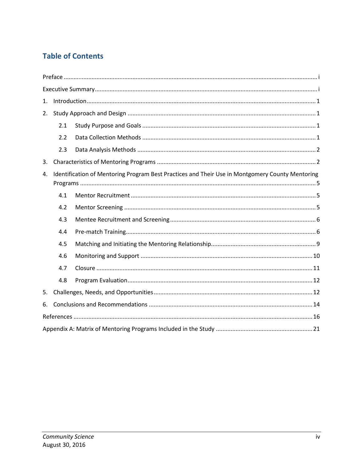# **Table of Contents**

| 1. |     |                                                                                                 |  |  |  |  |
|----|-----|-------------------------------------------------------------------------------------------------|--|--|--|--|
| 2. |     |                                                                                                 |  |  |  |  |
|    | 2.1 |                                                                                                 |  |  |  |  |
|    | 2.2 |                                                                                                 |  |  |  |  |
|    | 2.3 |                                                                                                 |  |  |  |  |
| 3. |     |                                                                                                 |  |  |  |  |
| 4. |     | Identification of Mentoring Program Best Practices and Their Use in Montgomery County Mentoring |  |  |  |  |
|    |     |                                                                                                 |  |  |  |  |
|    | 4.1 |                                                                                                 |  |  |  |  |
|    | 4.2 |                                                                                                 |  |  |  |  |
|    | 4.3 |                                                                                                 |  |  |  |  |
|    | 4.4 |                                                                                                 |  |  |  |  |
|    | 4.5 |                                                                                                 |  |  |  |  |
|    | 4.6 |                                                                                                 |  |  |  |  |
|    | 4.7 |                                                                                                 |  |  |  |  |
|    | 4.8 |                                                                                                 |  |  |  |  |
| 5. |     |                                                                                                 |  |  |  |  |
| 6. |     |                                                                                                 |  |  |  |  |
|    |     |                                                                                                 |  |  |  |  |
|    |     |                                                                                                 |  |  |  |  |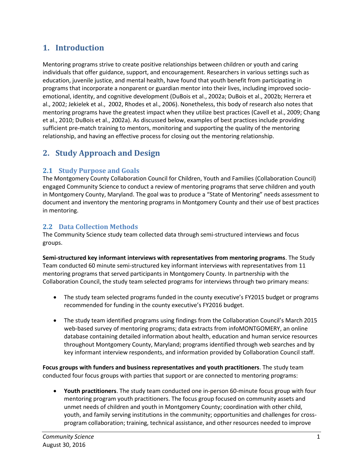# <span id="page-5-0"></span>**1. Introduction**

Mentoring programs strive to create positive relationships between children or youth and caring individuals that offer guidance, support, and encouragement. Researchers in various settings such as education, juvenile justice, and mental health, have found that youth benefit from participating in programs that incorporate a nonparent or guardian mentor into their lives, including improved socioemotional, identity, and cognitive development (DuBois et al., 2002a; DuBois et al., 2002b; Herrera et al., 2002; Jekielek et al., 2002, Rhodes et al., 2006). Nonetheless, this body of research also notes that mentoring programs have the greatest impact when they utilize best practices (Cavell et al., 2009; Chang et al., 2010; DuBois et al., 2002a). As discussed below, examples of best practices include providing sufficient pre-match training to mentors, monitoring and supporting the quality of the mentoring relationship, and having an effective process for closing out the mentoring relationship.

# <span id="page-5-1"></span>**2. Study Approach and Design**

## <span id="page-5-2"></span>**2.1 Study Purpose and Goals**

The Montgomery County Collaboration Council for Children, Youth and Families (Collaboration Council) engaged Community Science to conduct a review of mentoring programs that serve children and youth in Montgomery County, Maryland. The goal was to produce a "State of Mentoring" needs assessment to document and inventory the mentoring programs in Montgomery County and their use of best practices in mentoring.

## <span id="page-5-3"></span>**2.2 Data Collection Methods**

The Community Science study team collected data through semi-structured interviews and focus groups.

**Semi-structured key informant interviews with representatives from mentoring programs**. The Study Team conducted 60 minute semi-structured key informant interviews with representatives from 11 mentoring programs that served participants in Montgomery County. In partnership with the Collaboration Council, the study team selected programs for interviews through two primary means:

- The study team selected programs funded in the county executive's FY2015 budget or programs recommended for funding in the county executive's FY2016 budget.
- The study team identified programs using findings from the Collaboration Council's March 2015 web-based survey of mentoring programs; data extracts from infoMONTGOMERY, an online database containing detailed information about health, education and human service resources throughout Montgomery County, Maryland; programs identified through web searches and by key informant interview respondents, and information provided by Collaboration Council staff.

**Focus groups with funders and business representatives and youth practitioners**. The study team conducted four focus groups with parties that support or are connected to mentoring programs:

 **Youth practitioners**. The study team conducted one in-person 60-minute focus group with four mentoring program youth practitioners. The focus group focused on community assets and unmet needs of children and youth in Montgomery County; coordination with other child, youth, and family serving institutions in the community; opportunities and challenges for crossprogram collaboration; training, technical assistance, and other resources needed to improve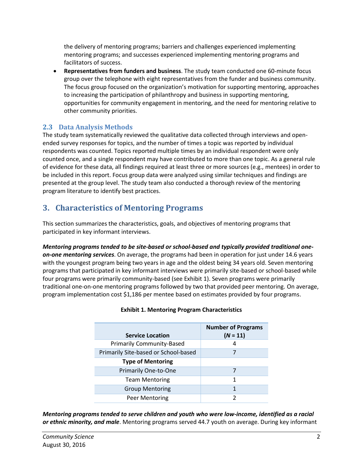the delivery of mentoring programs; barriers and challenges experienced implementing mentoring programs; and successes experienced implementing mentoring programs and facilitators of success.

 **Representatives from funders and business**. The study team conducted one 60-minute focus group over the telephone with eight representatives from the funder and business community. The focus group focused on the organization's motivation for supporting mentoring, approaches to increasing the participation of philanthropy and business in supporting mentoring, opportunities for community engagement in mentoring, and the need for mentoring relative to other community priorities.

## <span id="page-6-0"></span>**2.3 Data Analysis Methods**

The study team systematically reviewed the qualitative data collected through interviews and openended survey responses for topics, and the number of times a topic was reported by individual respondents was counted. Topics reported multiple times by an individual respondent were only counted once, and a single respondent may have contributed to more than one topic. As a general rule of evidence for these data, all findings required at least three or more sources (e.g., mentees) in order to be included in this report. Focus group data were analyzed using similar techniques and findings are presented at the group level. The study team also conducted a thorough review of the mentoring program literature to identify best practices.

# <span id="page-6-1"></span>**3. Characteristics of Mentoring Programs**

This section summarizes the characteristics, goals, and objectives of mentoring programs that participated in key informant interviews.

*Mentoring programs tended to be site-based or school-based and typically provided traditional oneon-one mentoring services*. On average, the programs had been in operation for just under 14.6 years with the youngest program being two years in age and the oldest being 34 years old. Seven mentoring programs that participated in key informant interviews were primarily site-based or school-based while four programs were primarily community-based (see Exhibit 1). Seven programs were primarily traditional one-on-one mentoring programs followed by two that provided peer mentoring. On average, program implementation cost \$1,186 per mentee based on estimates provided by four programs.

| <b>Service Location</b>              | <b>Number of Programs</b><br>$(N = 11)$ |
|--------------------------------------|-----------------------------------------|
| <b>Primarily Community-Based</b>     | 4                                       |
| Primarily Site-based or School-based |                                         |
| <b>Type of Mentoring</b>             |                                         |
| <b>Primarily One-to-One</b>          |                                         |
| <b>Team Mentoring</b>                | 1                                       |
| <b>Group Mentoring</b>               |                                         |
| Peer Mentoring                       |                                         |

### **Exhibit 1. Mentoring Program Characteristics**

*Mentoring programs tended to serve children and youth who were low-income, identified as a racial or ethnic minority, and male*. Mentoring programs served 44.7 youth on average. During key informant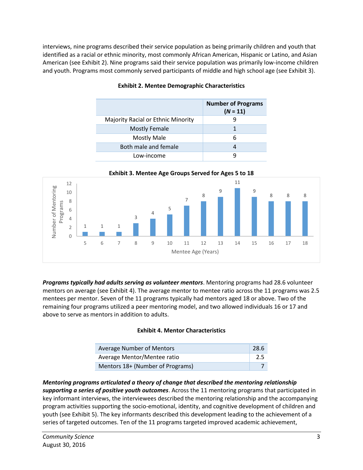interviews, nine programs described their service population as being primarily children and youth that identified as a racial or ethnic minority, most commonly African American, Hispanic or Latino, and Asian American (see Exhibit 2). Nine programs said their service population was primarily low-income children and youth. Programs most commonly served participants of middle and high school age (see Exhibit 3).

|                                           | <b>Number of Programs</b><br>$(N = 11)$ |
|-------------------------------------------|-----------------------------------------|
| <b>Majority Racial or Ethnic Minority</b> |                                         |
| <b>Mostly Female</b>                      |                                         |
| <b>Mostly Male</b>                        | 6                                       |
| Both male and female                      |                                         |
| Low-income                                |                                         |

#### **Exhibit 2. Mentee Demographic Characteristics**



*Programs typically had adults serving as volunteer mentors*. Mentoring programs had 28.6 volunteer mentors on average (see Exhibit 4). The average mentor to mentee ratio across the 11 programs was 2.5 mentees per mentor. Seven of the 11 programs typically had mentors aged 18 or above. Two of the remaining four programs utilized a peer mentoring model, and two allowed individuals 16 or 17 and above to serve as mentors in addition to adults.

#### **Exhibit 4. Mentor Characteristics**

| Average Number of Mentors        | -28.6 |
|----------------------------------|-------|
| Average Mentor/Mentee ratio      | 2.5   |
| Mentors 18+ (Number of Programs) |       |

#### *Mentoring programs articulated a theory of change that described the mentoring relationship supporting a series of positive youth outcomes*. Across the 11 mentoring programs that participated in key informant interviews, the interviewees described the mentoring relationship and the accompanying program activities supporting the socio-emotional, identity, and cognitive development of children and youth (see Exhibit 5). The key informants described this development leading to the achievement of a series of targeted outcomes. Ten of the 11 programs targeted improved academic achievement,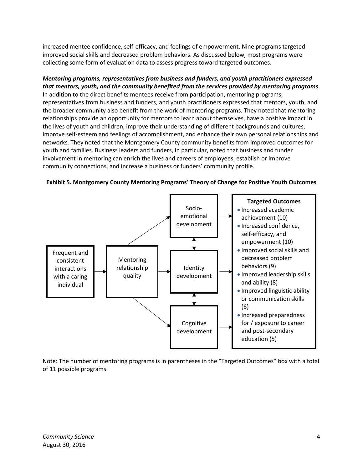increased mentee confidence, self-efficacy, and feelings of empowerment. Nine programs targeted improved social skills and decreased problem behaviors. As discussed below, most programs were collecting some form of evaluation data to assess progress toward targeted outcomes.

*Mentoring programs, representatives from business and funders, and youth practitioners expressed that mentors, youth, and the community benefited from the services provided by mentoring programs*. In addition to the direct benefits mentees receive from participation, mentoring programs, representatives from business and funders, and youth practitioners expressed that mentors, youth, and the broader community also benefit from the work of mentoring programs. They noted that mentoring relationships provide an opportunity for mentors to learn about themselves, have a positive impact in the lives of youth and children, improve their understanding of different backgrounds and cultures, improve self-esteem and feelings of accomplishment, and enhance their own personal relationships and networks. They noted that the Montgomery County community benefits from improved outcomes for youth and families. Business leaders and funders, in particular, noted that business and funder involvement in mentoring can enrich the lives and careers of employees, establish or improve community connections, and increase a business or funders' community profile.



**Exhibit 5. Montgomery County Mentoring Programs' Theory of Change for Positive Youth Outcomes**

Note: The number of mentoring programs is in parentheses in the "Targeted Outcomes" box with a total of 11 possible programs.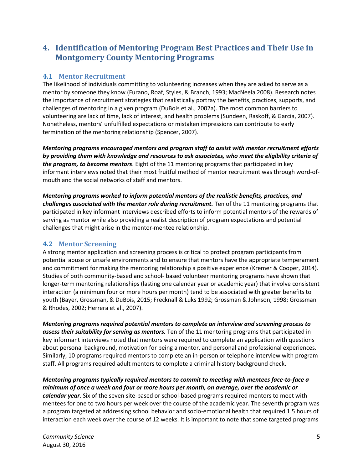## <span id="page-9-0"></span>**4. Identification of Mentoring Program Best Practices and Their Use in Montgomery County Mentoring Programs**

## <span id="page-9-1"></span>**4.1 Mentor Recruitment**

The likelihood of individuals committing to volunteering increases when they are asked to serve as a mentor by someone they know (Furano, Roaf, Styles, & Branch, 1993; MacNeela 2008). Research notes the importance of recruitment strategies that realistically portray the benefits, practices, supports, and challenges of mentoring in a given program (DuBois et al., 2002a). The most common barriers to volunteering are lack of time, lack of interest, and health problems (Sundeen, Raskoff, & Garcia, 2007). Nonetheless, mentors' unfulfilled expectations or mistaken impressions can contribute to early termination of the mentoring relationship (Spencer, 2007).

*Mentoring programs encouraged mentors and program staff to assist with mentor recruitment efforts by providing them with knowledge and resources to ask associates, who meet the eligibility criteria of the program, to become mentors*. Eight of the 11 mentoring programs that participated in key informant interviews noted that their most fruitful method of mentor recruitment was through word-ofmouth and the social networks of staff and mentors.

*Mentoring programs worked to inform potential mentors of the realistic benefits, practices, and challenges associated with the mentor role during recruitment.* Ten of the 11 mentoring programs that participated in key informant interviews described efforts to inform potential mentors of the rewards of serving as mentor while also providing a realist description of program expectations and potential challenges that might arise in the mentor-mentee relationship.

## <span id="page-9-2"></span>**4.2 Mentor Screening**

A strong mentor application and screening process is critical to protect program participants from potential abuse or unsafe environments and to ensure that mentors have the appropriate temperament and commitment for making the mentoring relationship a positive experience (Kremer & Cooper, 2014). Studies of both community-based and school- based volunteer mentoring programs have shown that longer-term mentoring relationships (lasting one calendar year or academic year) that involve consistent interaction (a minimum four or more hours per month) tend to be associated with greater benefits to youth (Bayer, Grossman, & DuBois, 2015; Frecknall & Luks 1992; Grossman & Johnson, 1998; Grossman & Rhodes, 2002; Herrera et al., 2007).

*Mentoring programs required potential mentors to complete an interview and screening process to assess their suitability for serving as mentors.* Ten of the 11 mentoring programs that participated in key informant interviews noted that mentors were required to complete an application with questions about personal background, motivation for being a mentor, and personal and professional experiences. Similarly, 10 programs required mentors to complete an in-person or telephone interview with program staff. All programs required adult mentors to complete a criminal history background check.

*Mentoring programs typically required mentors to commit to meeting with mentees face-to-face a minimum of once a week and four or more hours per month, on average, over the academic or calendar year*. Six of the seven site-based or school-based programs required mentors to meet with mentees for one to two hours per week over the course of the academic year. The seventh program was a program targeted at addressing school behavior and socio-emotional health that required 1.5 hours of interaction each week over the course of 12 weeks. It is important to note that some targeted programs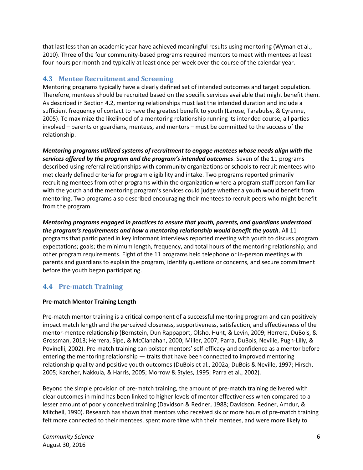that last less than an academic year have achieved meaningful results using mentoring (Wyman et al., 2010). Three of the four community-based programs required mentors to meet with mentees at least four hours per month and typically at least once per week over the course of the calendar year.

### <span id="page-10-0"></span>**4.3 Mentee Recruitment and Screening**

Mentoring programs typically have a clearly defined set of intended outcomes and target population. Therefore, mentees should be recruited based on the specific services available that might benefit them. As described in Section 4.2, mentoring relationships must last the intended duration and include a sufficient frequency of contact to have the greatest benefit to youth (Larose, Tarabulsy, & Cyrenne, 2005). To maximize the likelihood of a mentoring relationship running its intended course, all parties involved – parents or guardians, mentees, and mentors – must be committed to the success of the relationship.

*Mentoring programs utilized systems of recruitment to engage mentees whose needs align with the services offered by the program and the program's intended outcomes*. Seven of the 11 programs described using referral relationships with community organizations or schools to recruit mentees who met clearly defined criteria for program eligibility and intake. Two programs reported primarily recruiting mentees from other programs within the organization where a program staff person familiar with the youth and the mentoring program's services could judge whether a youth would benefit from mentoring. Two programs also described encouraging their mentees to recruit peers who might benefit from the program.

*Mentoring programs engaged in practices to ensure that youth, parents, and guardians understood the program's requirements and how a mentoring relationship would benefit the youth*. All 11 programs that participated in key informant interviews reported meeting with youth to discuss program expectations; goals; the minimum length, frequency, and total hours of the mentoring relationship; and other program requirements. Eight of the 11 programs held telephone or in-person meetings with parents and guardians to explain the program, identify questions or concerns, and secure commitment before the youth began participating.

## <span id="page-10-1"></span>**4.4 Pre-match Training**

### **Pre-match Mentor Training Length**

Pre-match mentor training is a critical component of a successful mentoring program and can positively impact match length and the perceived closeness, supportiveness, satisfaction, and effectiveness of the mentor-mentee relationship (Bernstein, Dun Rappaport, Olsho, Hunt, & Levin, 2009; Herrera, DuBois, & Grossman, 2013; Herrera, Sipe, & McClanahan, 2000; Miller, 2007; Parra, DuBois, Neville, Pugh-Lilly, & Povinelli, 2002). Pre-match training can bolster mentors' self-efficacy and confidence as a mentor before entering the mentoring relationship — traits that have been connected to improved mentoring relationship quality and positive youth outcomes (DuBois et al., 2002a; DuBois & Neville, 1997; Hirsch, 2005; Karcher, Nakkula, & Harris, 2005; Morrow & Styles, 1995; Parra et al., 2002).

Beyond the simple provision of pre-match training, the amount of pre-match training delivered with clear outcomes in mind has been linked to higher levels of mentor effectiveness when compared to a lesser amount of poorly conceived training (Davidson & Redner, 1988; Davidson, Redner, Amdur, & Mitchell, 1990). Research has shown that mentors who received six or more hours of pre-match training felt more connected to their mentees, spent more time with their mentees, and were more likely to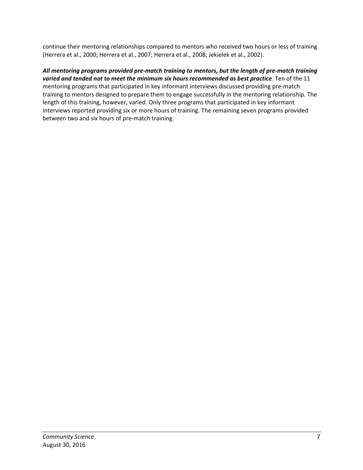continue their mentoring relationships compared to mentors who received two hours or less of training (Herrera et al., 2000; Herrera et al., 2007; Herrera et al., 2008; Jekielek et al., 2002).

#### *All mentoring programs provided pre-match training to mentors, but the length of pre-match training varied and tended not to meet the minimum six hours recommended as best practice*. Ten of the 11

mentoring programs that participated in key informant interviews discussed providing pre-match training to mentors designed to prepare them to engage successfully in the mentoring relationship. The length of this training, however, varied. Only three programs that participated in key informant interviews reported providing six or more hours of training. The remaining seven programs provided between two and six hours of pre-match training.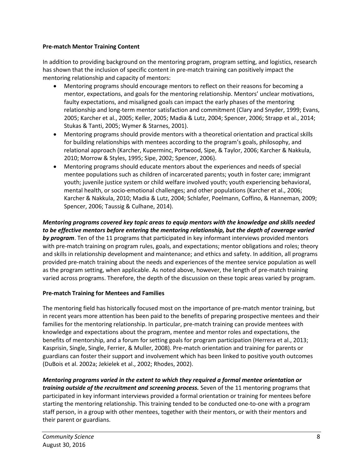#### **Pre-match Mentor Training Content**

In addition to providing background on the mentoring program, program setting, and logistics, research has shown that the inclusion of specific content in pre-match training can positively impact the mentoring relationship and capacity of mentors:

- Mentoring programs should encourage mentors to reflect on their reasons for becoming a mentor, expectations, and goals for the mentoring relationship. Mentors' unclear motivations, faulty expectations, and misaligned goals can impact the early phases of the mentoring relationship and long-term mentor satisfaction and commitment (Clary and Snyder, 1999; Evans, 2005; Karcher et al., 2005; Keller, 2005; Madia & Lutz, 2004; Spencer, 2006; Strapp et al., 2014; Stukas & Tanti, 2005; Wymer & Starnes, 2001).
- Mentoring programs should provide mentors with a theoretical orientation and practical skills for building relationships with mentees according to the program's goals, philosophy, and relational approach (Karcher, Kuperminc, Portwood, Sipe, & Taylor, 2006; Karcher & Nakkula, 2010; Morrow & Styles, 1995; Sipe, 2002; Spencer, 2006).
- Mentoring programs should educate mentors about the experiences and needs of special mentee populations such as children of incarcerated parents; youth in foster care; immigrant youth; juvenile justice system or child welfare involved youth; youth experiencing behavioral, mental health, or socio-emotional challenges; and other populations (Karcher et al., 2006; Karcher & Nakkula, 2010; Madia & Lutz, 2004; Schlafer, Poelmann, Coffino, & Hanneman, 2009; Spencer, 2006; Taussig & Culhane, 2014).

#### *Mentoring programs covered key topic areas to equip mentors with the knowledge and skills needed to be effective mentors before entering the mentoring relationship, but the depth of coverage varied*

*by program*. Ten of the 11 programs that participated in key informant interviews provided mentors with pre-match training on program rules, goals, and expectations; mentor obligations and roles; theory and skills in relationship development and maintenance; and ethics and safety. In addition, all programs provided pre-match training about the needs and experiences of the mentee service population as well as the program setting, when applicable. As noted above, however, the length of pre-match training varied across programs. Therefore, the depth of the discussion on these topic areas varied by program.

### **Pre-match Training for Mentees and Families**

The mentoring field has historically focused most on the importance of pre-match mentor training, but in recent years more attention has been paid to the benefits of preparing prospective mentees and their families for the mentoring relationship. In particular, pre-match training can provide mentees with knowledge and expectations about the program, mentee and mentor roles and expectations, the benefits of mentorship, and a forum for setting goals for program participation (Herrera et al., 2013; Kasprisin, Single, Single, Ferrier, & Muller, 2008). Pre-match orientation and training for parents or guardians can foster their support and involvement which has been linked to positive youth outcomes (DuBois et al. 2002a; Jekielek et al., 2002; Rhodes, 2002).

*Mentoring programs varied in the extent to which they required a formal mentee orientation or training outside of the recruitment and screening process.* Seven of the 11 mentoring programs that participated in key informant interviews provided a formal orientation or training for mentees before starting the mentoring relationship. This training tended to be conducted one-to-one with a program staff person, in a group with other mentees, together with their mentors, or with their mentors and their parent or guardians.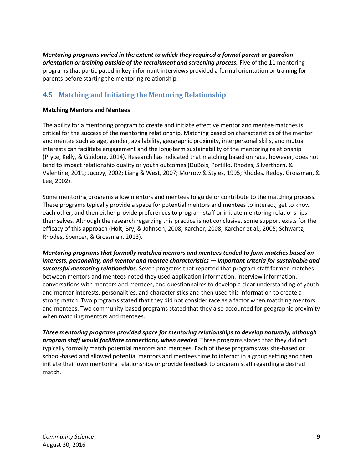*Mentoring programs varied in the extent to which they required a formal parent or guardian orientation or training outside of the recruitment and screening process.* Five of the 11 mentoring programs that participated in key informant interviews provided a formal orientation or training for parents before starting the mentoring relationship.

## <span id="page-13-0"></span>**4.5 Matching and Initiating the Mentoring Relationship**

#### **Matching Mentors and Mentees**

The ability for a mentoring program to create and initiate effective mentor and mentee matches is critical for the success of the mentoring relationship. Matching based on characteristics of the mentor and mentee such as age, gender, availability, geographic proximity, interpersonal skills, and mutual interests can facilitate engagement and the long-term sustainability of the mentoring relationship (Pryce, Kelly, & Guidone, 2014). Research has indicated that matching based on race, however, does not tend to impact relationship quality or youth outcomes (DuBois, Portillo, Rhodes, Silverthorn, & Valentine, 2011; Jucovy, 2002; Liang & West, 2007; Morrow & Styles, 1995; Rhodes, Reddy, Grossman, & Lee, 2002).

Some mentoring programs allow mentors and mentees to guide or contribute to the matching process. These programs typically provide a space for potential mentors and mentees to interact, get to know each other, and then either provide preferences to program staff or initiate mentoring relationships themselves. Although the research regarding this practice is not conclusive, some support exists for the efficacy of this approach (Holt, Bry, & Johnson, 2008; Karcher, 2008; Karcher et al., 2005; Schwartz, Rhodes, Spencer, & Grossman, 2013).

*Mentoring programs that formally matched mentors and mentees tended to form matches based on interests, personality, and mentor and mentee characteristics — important criteria for sustainable and successful mentoring relationships*. Seven programs that reported that program staff formed matches between mentors and mentees noted they used application information, interview information, conversations with mentors and mentees, and questionnaires to develop a clear understanding of youth and mentor interests, personalities, and characteristics and then used this information to create a strong match. Two programs stated that they did not consider race as a factor when matching mentors and mentees. Two community-based programs stated that they also accounted for geographic proximity when matching mentors and mentees.

*Three mentoring programs provided space for mentoring relationships to develop naturally, although program staff would facilitate connections, when needed*. Three programs stated that they did not typically formally match potential mentors and mentees. Each of these programs was site-based or school-based and allowed potential mentors and mentees time to interact in a group setting and then initiate their own mentoring relationships or provide feedback to program staff regarding a desired match.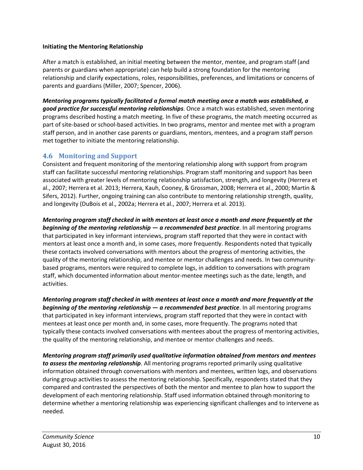#### **Initiating the Mentoring Relationship**

After a match is established, an initial meeting between the mentor, mentee, and program staff (and parents or guardians when appropriate) can help build a strong foundation for the mentoring relationship and clarify expectations, roles, responsibilities, preferences, and limitations or concerns of parents and guardians (Miller, 2007; Spencer, 2006).

*Mentoring programs typically facilitated a formal match meeting once a match was established, a good practice for successful mentoring relationships*. Once a match was established, seven mentoring programs described hosting a match meeting. In five of these programs, the match meeting occurred as part of site-based or school-based activities. In two programs, mentor and mentee met with a program staff person, and in another case parents or guardians, mentors, mentees, and a program staff person met together to initiate the mentoring relationship.

### <span id="page-14-0"></span>**4.6 Monitoring and Support**

Consistent and frequent monitoring of the mentoring relationship along with support from program staff can facilitate successful mentoring relationships. Program staff monitoring and support has been associated with greater levels of mentoring relationship satisfaction, strength, and longevity (Herrera et al., 2007; Herrera et al. 2013; Herrera, Kauh, Cooney, & Grossman, 2008; Herrera et al., 2000; Martin & Sifers, 2012). Further, ongoing training can also contribute to mentoring relationship strength, quality, and longevity (DuBois et al., 2002a; Herrera et al., 2007; Herrera et al. 2013).

*Mentoring program staff checked in with mentors at least once a month and more frequently at the beginning of the mentoring relationship — a recommended best practice*. In all mentoring programs that participated in key informant interviews, program staff reported that they were in contact with mentors at least once a month and, in some cases, more frequently. Respondents noted that typically these contacts involved conversations with mentors about the progress of mentoring activities, the quality of the mentoring relationship, and mentee or mentor challenges and needs. In two communitybased programs, mentors were required to complete logs, in addition to conversations with program staff, which documented information about mentor-mentee meetings such as the date, length, and activities.

*Mentoring program staff checked in with mentees at least once a month and more frequently at the beginning of the mentoring relationship — a recommended best practice*. In all mentoring programs that participated in key informant interviews, program staff reported that they were in contact with mentees at least once per month and, in some cases, more frequently. The programs noted that typically these contacts involved conversations with mentees about the progress of mentoring activities, the quality of the mentoring relationship, and mentee or mentor challenges and needs.

*Mentoring program staff primarily used qualitative information obtained from mentors and mentees to assess the mentoring relationship*. All mentoring programs reported primarily using qualitative information obtained through conversations with mentors and mentees, written logs, and observations during group activities to assess the mentoring relationship. Specifically, respondents stated that they compared and contrasted the perspectives of both the mentor and mentee to plan how to support the development of each mentoring relationship. Staff used information obtained through monitoring to determine whether a mentoring relationship was experiencing significant challenges and to intervene as needed.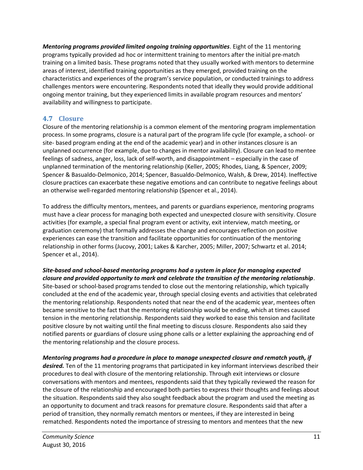*Mentoring programs provided limited ongoing training opportunities*. Eight of the 11 mentoring programs typically provided ad hoc or intermittent training to mentors after the initial pre-match training on a limited basis. These programs noted that they usually worked with mentors to determine areas of interest, identified training opportunities as they emerged, provided training on the characteristics and experiences of the program's service population, or conducted trainings to address challenges mentors were encountering. Respondents noted that ideally they would provide additional ongoing mentor training, but they experienced limits in available program resources and mentors' availability and willingness to participate.

## <span id="page-15-0"></span>**4.7 Closure**

Closure of the mentoring relationship is a common element of the mentoring program implementation process. In some programs, closure is a natural part of the program life cycle (for example, a school- or site- based program ending at the end of the academic year) and in other instances closure is an unplanned occurrence (for example, due to changes in mentor availability). Closure can lead to mentee feelings of sadness, anger, loss, lack of self-worth, and disappointment – especially in the case of unplanned termination of the mentoring relationship (Keller, 2005; Rhodes, Liang, & Spencer, 2009; Spencer & Basualdo-Delmonico, 2014; Spencer, Basualdo-Delmonico, Walsh, & Drew, 2014). Ineffective closure practices can exacerbate these negative emotions and can contribute to negative feelings about an otherwise well-regarded mentoring relationship (Spencer et al., 2014).

To address the difficulty mentors, mentees, and parents or guardians experience, mentoring programs must have a clear process for managing both expected and unexpected closure with sensitivity. Closure activities (for example, a special final program event or activity, exit interview, match meeting, or graduation ceremony) that formally addresses the change and encourages reflection on positive experiences can ease the transition and facilitate opportunities for continuation of the mentoring relationship in other forms (Jucovy, 2001; Lakes & Karcher, 2005; Miller, 2007; Schwartz et al. 2014; Spencer et al., 2014).

#### *Site-based and school-based mentoring programs had a system in place for managing expected closure and provided opportunity to mark and celebrate the transition of the mentoring relationship*.

Site-based or school-based programs tended to close out the mentoring relationship, which typically concluded at the end of the academic year, through special closing events and activities that celebrated the mentoring relationship. Respondents noted that near the end of the academic year, mentees often became sensitive to the fact that the mentoring relationship would be ending, which at times caused tension in the mentoring relationship. Respondents said they worked to ease this tension and facilitate positive closure by not waiting until the final meeting to discuss closure. Respondents also said they notified parents or guardians of closure using phone calls or a letter explaining the approaching end of the mentoring relationship and the closure process.

*Mentoring programs had a procedure in place to manage unexpected closure and rematch youth, if desired.* Ten of the 11 mentoring programs that participated in key informant interviews described their procedures to deal with closure of the mentoring relationship. Through exit interviews or closure conversations with mentors and mentees, respondents said that they typically reviewed the reason for the closure of the relationship and encouraged both parties to express their thoughts and feelings about the situation. Respondents said they also sought feedback about the program and used the meeting as an opportunity to document and track reasons for premature closure. Respondents said that after a period of transition, they normally rematch mentors or mentees, if they are interested in being rematched. Respondents noted the importance of stressing to mentors and mentees that the new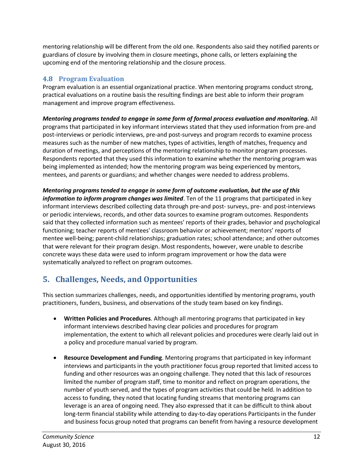mentoring relationship will be different from the old one. Respondents also said they notified parents or guardians of closure by involving them in closure meetings, phone calls, or letters explaining the upcoming end of the mentoring relationship and the closure process.

### <span id="page-16-0"></span>**4.8 Program Evaluation**

Program evaluation is an essential organizational practice. When mentoring programs conduct strong, practical evaluations on a routine basis the resulting findings are best able to inform their program management and improve program effectiveness.

*Mentoring programs tended to engage in some form of formal process evaluation and monitoring.* All programs that participated in key informant interviews stated that they used information from pre-and post-interviews or periodic interviews, pre-and post-surveys and program records to examine process measures such as the number of new matches, types of activities, length of matches, frequency and duration of meetings, and perceptions of the mentoring relationship to monitor program processes. Respondents reported that they used this information to examine whether the mentoring program was being implemented as intended; how the mentoring program was being experienced by mentors, mentees, and parents or guardians; and whether changes were needed to address problems.

*Mentoring programs tended to engage in some form of outcome evaluation, but the use of this information to inform program changes was limited*. Ten of the 11 programs that participated in key informant interviews described collecting data through pre-and post- surveys, pre- and post-interviews or periodic interviews, records, and other data sources to examine program outcomes. Respondents said that they collected information such as mentees' reports of their grades, behavior and psychological functioning; teacher reports of mentees' classroom behavior or achievement; mentors' reports of mentee well-being; parent-child relationships; graduation rates; school attendance; and other outcomes that were relevant for their program design. Most respondents, however, were unable to describe concrete ways these data were used to inform program improvement or how the data were systematically analyzed to reflect on program outcomes.

# <span id="page-16-1"></span>**5. Challenges, Needs, and Opportunities**

This section summarizes challenges, needs, and opportunities identified by mentoring programs, youth practitioners, funders, business, and observations of the study team based on key findings.

- **Written Policies and Procedures**. Although all mentoring programs that participated in key informant interviews described having clear policies and procedures for program implementation, the extent to which all relevant policies and procedures were clearly laid out in a policy and procedure manual varied by program.
- **Resource Development and Funding**. Mentoring programs that participated in key informant interviews and participants in the youth practitioner focus group reported that limited access to funding and other resources was an ongoing challenge. They noted that this lack of resources limited the number of program staff, time to monitor and reflect on program operations, the number of youth served, and the types of program activities that could be held. In addition to access to funding, they noted that locating funding streams that mentoring programs can leverage is an area of ongoing need. They also expressed that it can be difficult to think about long-term financial stability while attending to day-to-day operations Participants in the funder and business focus group noted that programs can benefit from having a resource development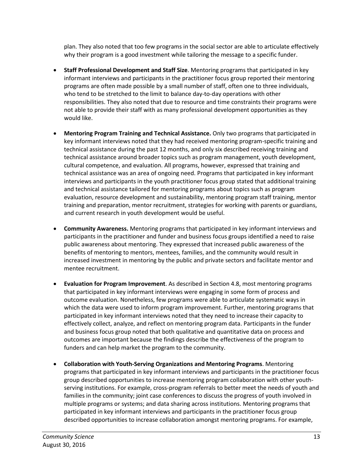plan. They also noted that too few programs in the social sector are able to articulate effectively why their program is a good investment while tailoring the message to a specific funder.

- **Staff Professional Development and Staff Size**. Mentoring programs that participated in key informant interviews and participants in the practitioner focus group reported their mentoring programs are often made possible by a small number of staff, often one to three individuals, who tend to be stretched to the limit to balance day-to-day operations with other responsibilities. They also noted that due to resource and time constraints their programs were not able to provide their staff with as many professional development opportunities as they would like.
- **Mentoring Program Training and Technical Assistance.** Only two programs that participated in key informant interviews noted that they had received mentoring program-specific training and technical assistance during the past 12 months, and only six described receiving training and technical assistance around broader topics such as program management, youth development, cultural competence, and evaluation. All programs, however, expressed that training and technical assistance was an area of ongoing need. Programs that participated in key informant interviews and participants in the youth practitioner focus group stated that additional training and technical assistance tailored for mentoring programs about topics such as program evaluation, resource development and sustainability, mentoring program staff training, mentor training and preparation, mentor recruitment, strategies for working with parents or guardians, and current research in youth development would be useful.
- **Community Awareness.** Mentoring programs that participated in key informant interviews and participants in the practitioner and funder and business focus groups identified a need to raise public awareness about mentoring. They expressed that increased public awareness of the benefits of mentoring to mentors, mentees, families, and the community would result in increased investment in mentoring by the public and private sectors and facilitate mentor and mentee recruitment.
- **Evaluation for Program Improvement**. As described in Section 4.8, most mentoring programs that participated in key informant interviews were engaging in some form of process and outcome evaluation. Nonetheless, few programs were able to articulate systematic ways in which the data were used to inform program improvement. Further, mentoring programs that participated in key informant interviews noted that they need to increase their capacity to effectively collect, analyze, and reflect on mentoring program data. Participants in the funder and business focus group noted that both qualitative and quantitative data on process and outcomes are important because the findings describe the effectiveness of the program to funders and can help market the program to the community.
- **Collaboration with Youth-Serving Organizations and Mentoring Programs**. Mentoring programs that participated in key informant interviews and participants in the practitioner focus group described opportunities to increase mentoring program collaboration with other youthserving institutions. For example, cross-program referrals to better meet the needs of youth and families in the community; joint case conferences to discuss the progress of youth involved in multiple programs or systems; and data sharing across institutions. Mentoring programs that participated in key informant interviews and participants in the practitioner focus group described opportunities to increase collaboration amongst mentoring programs. For example,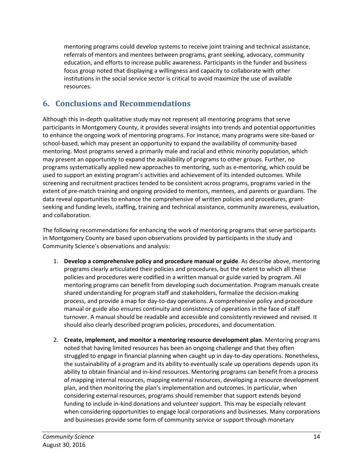mentoring programs could develop systems to receive joint training and technical assistance, referrals of mentors and mentees between programs, grant seeking, advocacy, community education, and efforts to increase public awareness. Participants in the funder and business focus group noted that displaying a willingness and capacity to collaborate with other institutions in the social service sector is critical to avoid maximize the use of available resources.

# <span id="page-18-0"></span>**6. Conclusions and Recommendations**

Although this in-depth qualitative study may not represent all mentoring programs that serve participants in Montgomery County, it provides several insights into trends and potential opportunities to enhance the ongoing work of mentoring programs. For instance, many programs were site-based or school-based, which may present an opportunity to expand the availability of community-based mentoring. Most programs served a primarily male and racial and ethnic minority population, which may present an opportunity to expand the availability of programs to other groups. Further, no programs systematically applied new approaches to mentoring, such as e-mentoring, which could be used to support an existing program's activities and achievement of its intended outcomes. While screening and recruitment practices tended to be consistent across programs, programs varied in the extent of pre-match training and ongoing provided to mentors, mentees, and parents or guardians. The data reveal opportunities to enhance the comprehensive of written policies and procedures, grantseeking and funding levels, staffing, training and technical assistance, community awareness, evaluation, and collaboration.

The following recommendations for enhancing the work of mentoring programs that serve participants in Montgomery County are based upon observations provided by participants in the study and Community Science's observations and analysis:

- 1. **Develop a comprehensive policy and procedure manual or guide**. As describe above, mentoring programs clearly articulated their policies and procedures, but the extent to which all these policies and procedures were codified in a written manual or guide varied by program. All mentoring programs can benefit from developing such documentation. Program manuals create shared understanding for program staff and stakeholders, formalize the decision-making process, and provide a map for day-to-day operations. A comprehensive policy and procedure manual or guide also ensures continuity and consistency of operations in the face of staff turnover. A manual should be readable and accessible and consistently reviewed and revised. It should also clearly described program policies, procedures, and documentation.
- 2. **Create, implement, and monitor a mentoring resource development plan**. Mentoring programs noted that having limited resources has been an ongoing challenge and that they often struggled to engage in financial planning when caught up in day-to-day operations. Nonetheless, the sustainability of a program and its ability to eventually scale up operations depends upon its ability to obtain financial and in-kind resources. Mentoring programs can benefit from a process of mapping internal resources, mapping external resources, developing a resource development plan, and then monitoring the plan's implementation and outcomes. In particular, when considering external resources, programs should remember that support extends beyond funding to include in-kind donations and volunteer support. This may be especially relevant when considering opportunities to engage local corporations and businesses. Many corporations and businesses provide some form of community service or support through monetary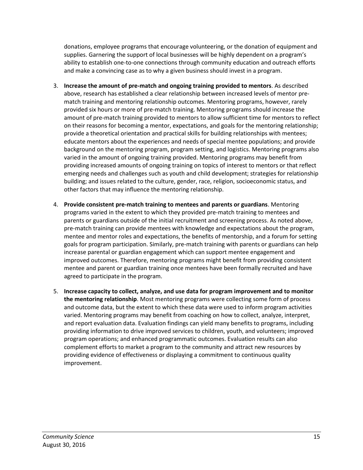donations, employee programs that encourage volunteering, or the donation of equipment and supplies. Garnering the support of local businesses will be highly dependent on a program's ability to establish one-to-one connections through community education and outreach efforts and make a convincing case as to why a given business should invest in a program.

- 3. **Increase the amount of pre-match and ongoing training provided to mentors**. As described above, research has established a clear relationship between increased levels of mentor prematch training and mentoring relationship outcomes. Mentoring programs, however, rarely provided six hours or more of pre-match training. Mentoring programs should increase the amount of pre-match training provided to mentors to allow sufficient time for mentors to reflect on their reasons for becoming a mentor, expectations, and goals for the mentoring relationship; provide a theoretical orientation and practical skills for building relationships with mentees; educate mentors about the experiences and needs of special mentee populations; and provide background on the mentoring program, program setting, and logistics. Mentoring programs also varied in the amount of ongoing training provided. Mentoring programs may benefit from providing increased amounts of ongoing training on topics of interest to mentors or that reflect emerging needs and challenges such as youth and child development; strategies for relationship building; and issues related to the culture, gender, race, religion, socioeconomic status, and other factors that may influence the mentoring relationship.
- 4. **Provide consistent pre-match training to mentees and parents or guardians**. Mentoring programs varied in the extent to which they provided pre-match training to mentees and parents or guardians outside of the initial recruitment and screening process. As noted above, pre-match training can provide mentees with knowledge and expectations about the program, mentee and mentor roles and expectations, the benefits of mentorship, and a forum for setting goals for program participation. Similarly, pre-match training with parents or guardians can help increase parental or guardian engagement which can support mentee engagement and improved outcomes. Therefore, mentoring programs might benefit from providing consistent mentee and parent or guardian training once mentees have been formally recruited and have agreed to participate in the program.
- 5. **Increase capacity to collect, analyze, and use data for program improvement and to monitor the mentoring relationship**. Most mentoring programs were collecting some form of process and outcome data, but the extent to which these data were used to inform program activities varied. Mentoring programs may benefit from coaching on how to collect, analyze, interpret, and report evaluation data. Evaluation findings can yield many benefits to programs, including providing information to drive improved services to children, youth, and volunteers; improved program operations; and enhanced programmatic outcomes. Evaluation results can also complement efforts to market a program to the community and attract new resources by providing evidence of effectiveness or displaying a commitment to continuous quality improvement.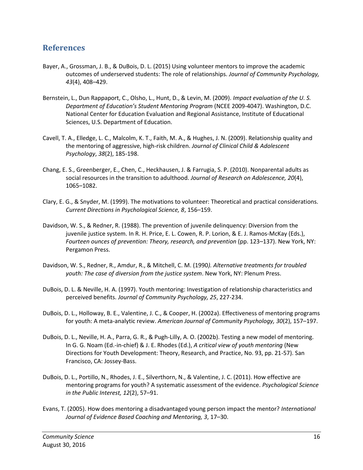## <span id="page-20-0"></span>**References**

- Bayer, A., Grossman, J. B., & DuBois, D. L. (2015) Using volunteer mentors to improve the academic outcomes of underserved students: The role of relationships. *Journal of Community Psychology, 43*(4), 408–429.
- Bernstein, L., Dun Rappaport, C., Olsho, L., Hunt, D., & Levin, M. (2009). *Impact evaluation of the U. S. Department of Education's Student Mentoring Program* (NCEE 2009-4047). Washington, D.C. National Center for Education Evaluation and Regional Assistance, Institute of Educational Sciences, U.S. Department of Education.
- Cavell, T. A., Elledge, L. C., Malcolm, K. T., Faith, M. A., & Hughes, J. N. (2009). Relationship quality and the mentoring of aggressive, high-risk children. *Journal of Clinical Child & Adolescent Psychology*, *38*(2), 185-198.
- Chang, E. S., Greenberger, E., Chen, C., Heckhausen, J. & Farrugia, S. P. (2010). Nonparental adults as social resources in the transition to adulthood. *Journal of Research on Adolescence, 20*(4), 1065–1082.
- Clary, E. G., & Snyder, M. (1999). The motivations to volunteer: Theoretical and practical considerations. *Current Directions in Psychological Science, 8*, 156–159.
- Davidson, W. S., & Redner, R. (1988). The prevention of juvenile delinquency: Diversion from the juvenile justice system. In R. H. Price, E. L. Cowen, R. P. Lorion, & E. J. Ramos-McKay (Eds.), *Fourteen ounces of prevention: Theory, research, and prevention* (pp. 123–137). New York, NY: Pergamon Press.
- Davidson, W. S., Redner, R., Amdur, R., & Mitchell, C. M. (1990*). Alternative treatments for troubled youth: The case of diversion from the justice system*. New York, NY: Plenum Press.
- DuBois, D. L. & Neville, H. A. (1997). Youth mentoring: Investigation of relationship characteristics and perceived benefits. *Journal of Community Psychology, 25*, 227-234.
- DuBois, D. L., Holloway, B. E., Valentine, J. C., & Cooper, H. (2002a). Effectiveness of mentoring programs for youth: A meta-analytic review. *American Journal of Community Psychology, 30*(2), 157–197.
- DuBois, D. L., Neville, H. A., Parra, G. R., & Pugh-Lilly, A. O. (2002b). Testing a new model of mentoring. In G. G. Noam (Ed.-in-chief) & J. E. Rhodes (Ed.), *A critical view of youth mentoring* (New Directions for Youth Development: Theory, Research, and Practice, No. 93, pp. 21-57). San Francisco, CA: Jossey-Bass.
- DuBois, D. L., Portillo, N., Rhodes, J. E., Silverthorn, N., & Valentine, J. C. (2011). How effective are mentoring programs for youth? A systematic assessment of the evidence. *Psychological Science in the Public Interest, 12*(2), 57–91.
- Evans, T. (2005). How does mentoring a disadvantaged young person impact the mentor? *International Journal of Evidence Based Coaching and Mentoring, 3*, 17–30.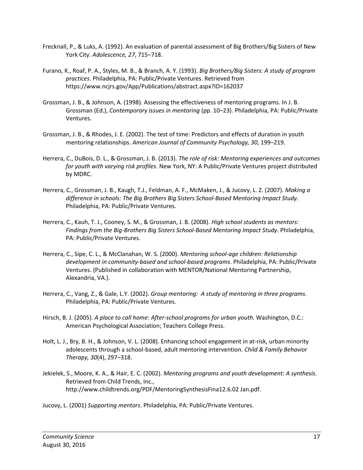- Frecknall, P., & Luks, A. (1992). An evaluation of parental assessment of Big Brothers/Big Sisters of New York City. *Adolescence, 27*, 715–718.
- Furano, K., Roaf, P. A., Styles, M. B., & Branch, A. Y. (1993). *Big Brothers/Big Sisters: A study of program practices*. Philadelphia, PA: Public/Private Ventures. Retrieved from https://www.ncjrs.gov/App/Publications/abstract.aspx?ID=162037
- Grossman, J. B., & Johnson, A. (1998). Assessing the effectiveness of mentoring programs. In J. B. Grossman (Ed.), *Contemporary issues in mentoring* (pp. 10–23). Philadelphia, PA: Public/Private Ventures.
- Grossman, J. B., & Rhodes, J. E. (2002). The test of time: Predictors and effects of duration in youth mentoring relationships. *American Journal of Community Psychology, 30*, 199–219.
- Herrera, C., DuBois, D. L., & Grossman, J. B. (2013). *The role of risk: Mentoring experiences and outcomes for youth with varying risk profiles*. New York, NY: A Public/Private Ventures project distributed by MDRC.
- Herrera, C., Grossman, J. B., Kaugh, T.J., Feldman, A. F., McMaken, J., & Jucovy, L. Z. (2007). *Making a difference in schools: The Big Brothers Big Sisters School-Based Mentoring Impact Study*. Philadelphia, PA: Public/Private Ventures.
- Herrera, C., Kauh, T. J., Cooney, S. M., & Grossman, J. B. (2008). *High school students as mentors: Findings from the Big-Brothers Big Sisters School-Based Mentoring Impact Study*. Philadelphia, PA: Public/Private Ventures.
- Herrera, C., Sipe, C. L., & McClanahan, W. S. (2000). *Mentoring school-age children: Relationship development in community-based and school-based programs*. Philadelphia, PA: Public/Private Ventures. (Published in collaboration with MENTOR/National Mentoring Partnership, Alexandria, VA.).
- Herrera, C., Vang, Z., & Gale, L.Y. (2002). *Group mentoring: A study of mentoring in three programs*. Philadelphia, PA: Public/Private Ventures.
- Hirsch, B. J. (2005). *A place to call home: After-school programs for urban youth*. Washington, D.C.: American Psychological Association; Teachers College Press.
- Holt, L. J., Bry, B. H., & Johnson, V. L. (2008). Enhancing school engagement in at-risk, urban minority adolescents through a school-based, adult mentoring intervention. *Child & Family Behavior Therapy, 30*(4), 297–318.
- Jekielek, S., Moore, K. A., & Hair, E. C. (2002). *Mentoring programs and youth development: A synthesis*. Retrieved from Child Trends, Inc., http://www.childtrends.org/PDF/MentoringSynthesisFina12.6.02 Jan.pdf.
- Jucovy, L. (2001) *Supporting mentors*. Philadelphia, PA: Public/Private Ventures.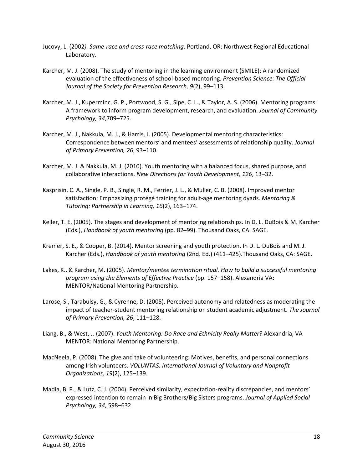- Jucovy, L. (2002*). Same-race and cross-race matching*. Portland, OR: Northwest Regional Educational Laboratory.
- Karcher, M. J. (2008). The study of mentoring in the learning environment (SMILE): A randomized evaluation of the effectiveness of school-based mentoring. *Prevention Science: The Official Journal of the Society for Prevention Research, 9*(2), 99–113.
- Karcher, M. J., Kuperminc, G. P., Portwood, S. G., Sipe, C. L., & Taylor, A. S. (2006). Mentoring programs: A framework to inform program development, research, and evaluation. *Journal of Community Psychology, 34*,709–725.
- Karcher, M. J., Nakkula, M. J., & Harris, J. (2005). Developmental mentoring characteristics: Correspondence between mentors' and mentees' assessments of relationship quality. *Journal of Primary Prevention, 26*, 93–110.
- Karcher, M. J. & Nakkula, M. J. (2010). Youth mentoring with a balanced focus, shared purpose, and collaborative interactions. *New Directions for Youth Development, 126*, 13–32.
- Kasprisin, C. A., Single, P. B., Single, R. M., Ferrier, J. L., & Muller, C. B. (2008). Improved mentor satisfaction: Emphasizing protégé training for adult-age mentoring dyads. *Mentoring & Tutoring: Partnership in Learning, 16*(2), 163–174.
- Keller, T. E. (2005). The stages and development of mentoring relationships. In D. L. DuBois & M. Karcher (Eds.), *Handbook of youth mentoring* (pp. 82–99). Thousand Oaks, CA: SAGE.
- Kremer, S. E., & Cooper, B. (2014). Mentor screening and youth protection. In D. L. DuBois and M. J. Karcher (Eds.), *Handbook of youth mentoring* (2nd. Ed.) (411–425).Thousand Oaks, CA: SAGE.
- Lakes, K., & Karcher, M. (2005). *Mentor/mentee termination ritual. How to build a successful mentoring program using the Elements of Effective Practice* (pp. 157–158). Alexandria VA: MENTOR/National Mentoring Partnership.
- Larose, S., Tarabulsy, G., & Cyrenne, D. (2005). Perceived autonomy and relatedness as moderating the impact of teacher-student mentoring relationship on student academic adjustment. *The Journal of Primary Prevention, 26*, 111–128.
- Liang, B., & West, J. (2007). *Youth Mentoring: Do Race and Ethnicity Really Matter?* Alexandria, VA MENTOR: National Mentoring Partnership.
- MacNeela, P. (2008). The give and take of volunteering: Motives, benefits, and personal connections among Irish volunteers. *VOLUNTAS: International Journal of Voluntary and Nonprofit Organizations, 19*(2), 125–139.
- Madia, B. P., & Lutz, C. J. (2004). Perceived similarity, expectation-reality discrepancies, and mentors' expressed intention to remain in Big Brothers/Big Sisters programs. *Journal of Applied Social Psychology, 34*, 598–632.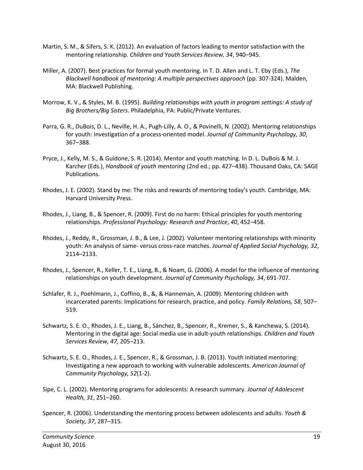- Martin, S. M., & Sifers, S. K. (2012). An evaluation of factors leading to mentor satisfaction with the mentoring relationship. *Children and Youth Services Review, 34*, 940–945.
- Miller, A. (2007). Best practices for formal youth mentoring. In T. D. Allen and L. T. Eby (Eds.), *The Blackwell handbook of mentoring: A multiple perspectives approach* (pp. 307-324). Malden, MA: Blackwell Publishing.
- Morrow, K. V., & Styles, M. B. (1995). *Building relationships with youth in program settings: A study of Big Brothers/Big Sisters*. Philadelphia, PA: Public/Private Ventures.
- Parra, G. R., DuBois, D. L., Neville, H. A., Pugh-Lilly, A. O., & Povinelli, N. (2002). Mentoring relationships for youth: Investigation of a process-oriented model. *Journal of Community Psychology, 30*, 367–388.
- Pryce, J., Kelly, M. S., & Guidone, S. R. (2014). Mentor and youth matching. In D. L. DuBois & M. J. Karcher (Eds.), *Handbook of youth mentoring* (2nd ed.; pp. 427–438). Thousand Oaks, CA: SAGE Publications.
- Rhodes, J. E. (2002). Stand by me: The risks and rewards of mentoring today's youth. Cambridge, MA: Harvard University Press.
- Rhodes, J., Liang, B., & Spencer, R. (2009). First do no harm: Ethical principles for youth mentoring relationships. *Professional Psychology: Research and Practice*, *40*, 452–458.
- Rhodes, J., Reddy, R., Grossman, J. B., & Lee, J. (2002). Volunteer mentoring relationships with minority youth: An analysis of same- versus cross-race matches. *Journal of Applied Social Psychology, 32*, 2114–2133.
- Rhodes, J., Spencer, R., Keller, T. E., Liang, B., & Noam, G. (2006). A model for the influence of mentoring relationships on youth development. *Journal of Community Psychology, 34*, 691-707.
- Schlafer, R. J., Poehlmann, J., Coffino, B., &, & Hanneman, A. (2009). Mentoring children with incarcerated parents: Implications for research, practice, and policy. *Family Relations, 58*, 507– 519.
- Schwartz, S. E. O., Rhodes, J. E., Liang, B., Sánchez, B., Spencer, R., Kremer, S., & Kanchewa, S. (2014). Mentoring in the digital age: Social media use in adult-youth relationships. *Children and Youth Services Review, 47*, 205–213.
- Schwartz, S. E. O., Rhodes, J. E., Spencer, R., & Grossman, J. B. (2013). Youth initiated mentoring: Investigating a new approach to working with vulnerable adolescents. *American Journal of Community Psychology, 52*(1-2).
- Sipe, C. L. (2002). Mentoring programs for adolescents: A research summary. *Journal of Adolescent Health, 31*, 251–260.
- Spencer, R. (2006). Understanding the mentoring process between adolescents and adults. *Youth & Society, 37*, 287–315.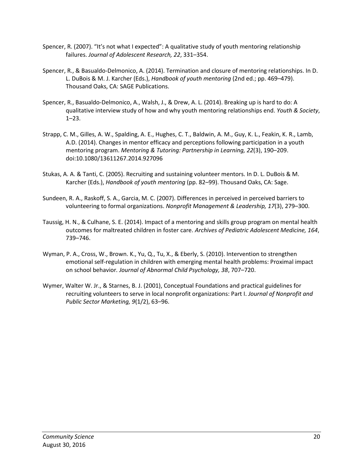- Spencer, R. (2007). "It's not what I expected": A qualitative study of youth mentoring relationship failures. *Journal of Adolescent Research, 22*, 331–354.
- Spencer, R., & Basualdo-Delmonico, A. (2014). Termination and closure of mentoring relationships. In D. L. DuBois & M. J. Karcher (Eds.), *Handbook of youth mentoring* (2nd ed.; pp. 469–479). Thousand Oaks, CA: SAGE Publications.
- Spencer, R., Basualdo-Delmonico, A., Walsh, J., & Drew, A. L. (2014). Breaking up is hard to do: A qualitative interview study of how and why youth mentoring relationships end. *Youth & Society*, 1–23.
- Strapp, C. M., Gilles, A. W., Spalding, A. E., Hughes, C. T., Baldwin, A. M., Guy, K. L., Feakin, K. R., Lamb, A.D. (2014). Changes in mentor efficacy and perceptions following participation in a youth mentoring program. *Mentoring & Tutoring: Partnership in Learning, 22*(3), 190–209. doi:10.1080/13611267.2014.927096
- Stukas, A. A. & Tanti, C. (2005). Recruiting and sustaining volunteer mentors. In D. L. DuBois & M. Karcher (Eds.), *Handbook of youth mentoring* (pp. 82–99). Thousand Oaks, CA: Sage.
- Sundeen, R. A., Raskoff, S. A., Garcia, M. C. (2007). Differences in perceived in perceived barriers to volunteering to formal organizations. *Nonprofit Management & Leadership, 17*(3), 279–300.
- Taussig, H. N., & Culhane, S. E. (2014). Impact of a mentoring and skills group program on mental health outcomes for maltreated children in foster care. *Archives of Pediatric Adolescent Medicine, 164*, 739–746.
- Wyman, P. A., Cross, W., Brown. K., Yu, Q., Tu, X., & Eberly, S. (2010). Intervention to strengthen emotional self-regulation in children with emerging mental health problems: Proximal impact on school behavior*. Journal of Abnormal Child Psychology, 38*, 707–720.
- Wymer, Walter W. Jr., & Starnes, B. J. (2001), Conceptual Foundations and practical guidelines for recruiting volunteers to serve in local nonprofit organizations: Part I. *Journal of Nonprofit and Public Sector Marketing, 9*(1/2), 63–96.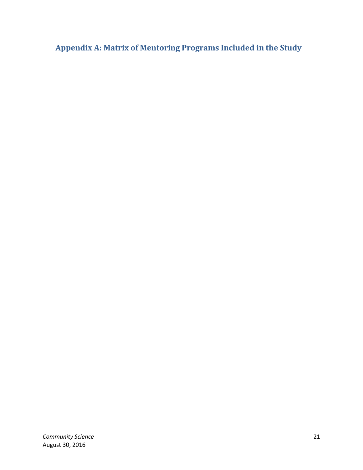<span id="page-25-0"></span>**Appendix A: Matrix of Mentoring Programs Included in the Study**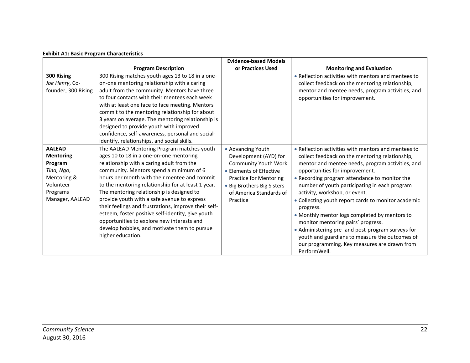|  |  |  |  | <b>Exhibit A1: Basic Program Characteristics</b> |
|--|--|--|--|--------------------------------------------------|
|--|--|--|--|--------------------------------------------------|

|                                                                                                                       |                                                                                                                                                                                                                                                                                                                                                                                                                                                                                                                                                                                                                 | <b>Evidence-based Models</b>                                                                                                                                                                        |                                                                                                                                                                                                                                                                                                                                                                                                                                                                                                                                                                                                                                                                   |
|-----------------------------------------------------------------------------------------------------------------------|-----------------------------------------------------------------------------------------------------------------------------------------------------------------------------------------------------------------------------------------------------------------------------------------------------------------------------------------------------------------------------------------------------------------------------------------------------------------------------------------------------------------------------------------------------------------------------------------------------------------|-----------------------------------------------------------------------------------------------------------------------------------------------------------------------------------------------------|-------------------------------------------------------------------------------------------------------------------------------------------------------------------------------------------------------------------------------------------------------------------------------------------------------------------------------------------------------------------------------------------------------------------------------------------------------------------------------------------------------------------------------------------------------------------------------------------------------------------------------------------------------------------|
|                                                                                                                       | <b>Program Description</b>                                                                                                                                                                                                                                                                                                                                                                                                                                                                                                                                                                                      | or Practices Used                                                                                                                                                                                   | <b>Monitoring and Evaluation</b>                                                                                                                                                                                                                                                                                                                                                                                                                                                                                                                                                                                                                                  |
| 300 Rising<br>Joe Henry, Co-<br>founder, 300 Rising                                                                   | 300 Rising matches youth ages 13 to 18 in a one-<br>on-one mentoring relationship with a caring<br>adult from the community. Mentors have three<br>to four contacts with their mentees each week<br>with at least one face to face meeting. Mentors<br>commit to the mentoring relationship for about<br>3 years on average. The mentoring relationship is<br>designed to provide youth with improved<br>confidence, self-awareness, personal and social-<br>identify, relationships, and social skills.                                                                                                        |                                                                                                                                                                                                     | • Reflection activities with mentors and mentees to<br>collect feedback on the mentoring relationship,<br>mentor and mentee needs, program activities, and<br>opportunities for improvement.                                                                                                                                                                                                                                                                                                                                                                                                                                                                      |
| <b>AALEAD</b><br><b>Mentoring</b><br>Program<br>Tina, Ngo,<br>Mentoring &<br>Volunteer<br>Programs<br>Manager, AALEAD | The AALEAD Mentoring Program matches youth<br>ages 10 to 18 in a one-on-one mentoring<br>relationship with a caring adult from the<br>community. Mentors spend a minimum of 6<br>hours per month with their mentee and commit<br>to the mentoring relationship for at least 1 year.<br>The mentoring relationship is designed to<br>provide youth with a safe avenue to express<br>their feelings and frustrations, improve their self-<br>esteem, foster positive self-identity, give youth<br>opportunities to explore new interests and<br>develop hobbies, and motivate them to pursue<br>higher education. | • Advancing Youth<br>Development (AYD) for<br>Community Youth Work<br>• Elements of Effective<br><b>Practice for Mentoring</b><br>• Big Brothers Big Sisters<br>of America Standards of<br>Practice | • Reflection activities with mentors and mentees to<br>collect feedback on the mentoring relationship,<br>mentor and mentee needs, program activities, and<br>opportunities for improvement.<br>• Recording program attendance to monitor the<br>number of youth participating in each program<br>activity, workshop, or event.<br>• Collecting youth report cards to monitor academic<br>progress.<br>• Monthly mentor logs completed by mentors to<br>monitor mentoring pairs' progress.<br>• Administering pre- and post-program surveys for<br>youth and guardians to measure the outcomes of<br>our programming. Key measures are drawn from<br>PerformWell. |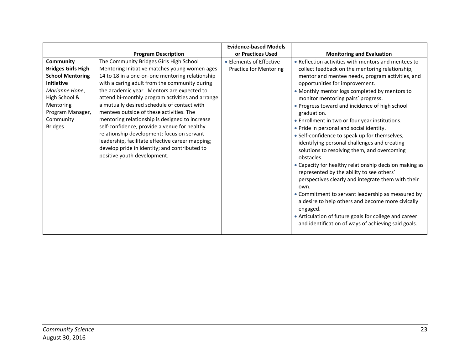|                                                                                                                                                                                           |                                                                                                                                                                                                                                                                                                                                                                                                                                                                                                                                                                                                                                                                               | <b>Evidence-based Models</b>                             |                                                                                                                                                                                                                                                                                                                                                                                                                                                                                                                                                                                                                                                                                                                                                                                                                                                                                                                                                                                                                             |
|-------------------------------------------------------------------------------------------------------------------------------------------------------------------------------------------|-------------------------------------------------------------------------------------------------------------------------------------------------------------------------------------------------------------------------------------------------------------------------------------------------------------------------------------------------------------------------------------------------------------------------------------------------------------------------------------------------------------------------------------------------------------------------------------------------------------------------------------------------------------------------------|----------------------------------------------------------|-----------------------------------------------------------------------------------------------------------------------------------------------------------------------------------------------------------------------------------------------------------------------------------------------------------------------------------------------------------------------------------------------------------------------------------------------------------------------------------------------------------------------------------------------------------------------------------------------------------------------------------------------------------------------------------------------------------------------------------------------------------------------------------------------------------------------------------------------------------------------------------------------------------------------------------------------------------------------------------------------------------------------------|
|                                                                                                                                                                                           | <b>Program Description</b>                                                                                                                                                                                                                                                                                                                                                                                                                                                                                                                                                                                                                                                    | or Practices Used                                        | <b>Monitoring and Evaluation</b>                                                                                                                                                                                                                                                                                                                                                                                                                                                                                                                                                                                                                                                                                                                                                                                                                                                                                                                                                                                            |
| Community<br><b>Bridges Girls High</b><br><b>School Mentoring</b><br><b>Initiative</b><br>Marianne Hope,<br>High School &<br>Mentoring<br>Program Manager,<br>Community<br><b>Bridges</b> | The Community Bridges Girls High School<br>Mentoring Initiative matches young women ages<br>14 to 18 in a one-on-one mentoring relationship<br>with a caring adult from the community during<br>the academic year. Mentors are expected to<br>attend bi-monthly program activities and arrange<br>a mutually desired schedule of contact with<br>mentees outside of these activities. The<br>mentoring relationship is designed to increase<br>self-confidence, provide a venue for healthy<br>relationship development; focus on servant<br>leadership, facilitate effective career mapping;<br>develop pride in identity; and contributed to<br>positive youth development. | • Elements of Effective<br><b>Practice for Mentoring</b> | • Reflection activities with mentors and mentees to<br>collect feedback on the mentoring relationship,<br>mentor and mentee needs, program activities, and<br>opportunities for improvement.<br>• Monthly mentor logs completed by mentors to<br>monitor mentoring pairs' progress.<br>• Progress toward and incidence of high school<br>graduation.<br>• Enrollment in two or four year institutions.<br>• Pride in personal and social identity.<br>• Self-confidence to speak up for themselves,<br>identifying personal challenges and creating<br>solutions to resolving them, and overcoming<br>obstacles.<br>• Capacity for healthy relationship decision making as<br>represented by the ability to see others'<br>perspectives clearly and integrate them with their<br>own.<br>• Commitment to servant leadership as measured by<br>a desire to help others and become more civically<br>engaged.<br>• Articulation of future goals for college and career<br>and identification of ways of achieving said goals. |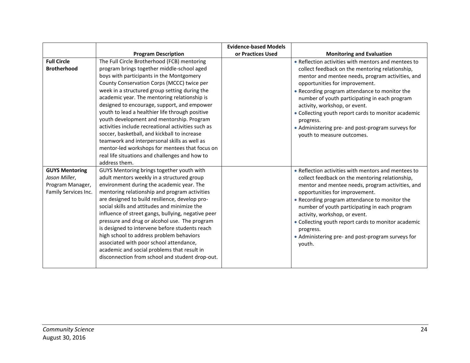|                                                                                    |                                                                                                                                                                                                                                                                                                                                                                                                                                                                                                                                                                                                                                                                                                                | <b>Evidence-based Models</b> |                                                                                                                                                                                                                                                                                                                                                                                                                                                                                        |
|------------------------------------------------------------------------------------|----------------------------------------------------------------------------------------------------------------------------------------------------------------------------------------------------------------------------------------------------------------------------------------------------------------------------------------------------------------------------------------------------------------------------------------------------------------------------------------------------------------------------------------------------------------------------------------------------------------------------------------------------------------------------------------------------------------|------------------------------|----------------------------------------------------------------------------------------------------------------------------------------------------------------------------------------------------------------------------------------------------------------------------------------------------------------------------------------------------------------------------------------------------------------------------------------------------------------------------------------|
|                                                                                    | <b>Program Description</b>                                                                                                                                                                                                                                                                                                                                                                                                                                                                                                                                                                                                                                                                                     | or Practices Used            | <b>Monitoring and Evaluation</b>                                                                                                                                                                                                                                                                                                                                                                                                                                                       |
| <b>Full Circle</b><br><b>Brotherhood</b>                                           | The Full Circle Brotherhood (FCB) mentoring<br>program brings together middle-school aged<br>boys with participants in the Montgomery<br>County Conservation Corps (MCCC) twice per<br>week in a structured group setting during the<br>academic year. The mentoring relationship is<br>designed to encourage, support, and empower<br>youth to lead a healthier life through positive<br>youth development and mentorship. Program<br>activities include recreational activities such as<br>soccer, basketball, and kickball to increase<br>teamwork and interpersonal skills as well as<br>mentor-led workshops for mentees that focus on<br>real life situations and challenges and how to<br>address them. |                              | • Reflection activities with mentors and mentees to<br>collect feedback on the mentoring relationship,<br>mentor and mentee needs, program activities, and<br>opportunities for improvement.<br>• Recording program attendance to monitor the<br>number of youth participating in each program<br>activity, workshop, or event.<br>• Collecting youth report cards to monitor academic<br>progress.<br>• Administering pre- and post-program surveys for<br>youth to measure outcomes. |
| <b>GUYS Mentoring</b><br>Jason Miller,<br>Program Manager,<br>Family Services Inc. | GUYS Mentoring brings together youth with<br>adult mentors weekly in a structured group<br>environment during the academic year. The<br>mentoring relationship and program activities<br>are designed to build resilience, develop pro-<br>social skills and attitudes and minimize the<br>influence of street gangs, bullying, negative peer<br>pressure and drug or alcohol use. The program<br>is designed to intervene before students reach<br>high school to address problem behaviors<br>associated with poor school attendance,<br>academic and social problems that result in<br>disconnection from school and student drop-out.                                                                      |                              | • Reflection activities with mentors and mentees to<br>collect feedback on the mentoring relationship,<br>mentor and mentee needs, program activities, and<br>opportunities for improvement.<br>• Recording program attendance to monitor the<br>number of youth participating in each program<br>activity, workshop, or event.<br>• Collecting youth report cards to monitor academic<br>progress.<br>• Administering pre- and post-program surveys for<br>youth.                     |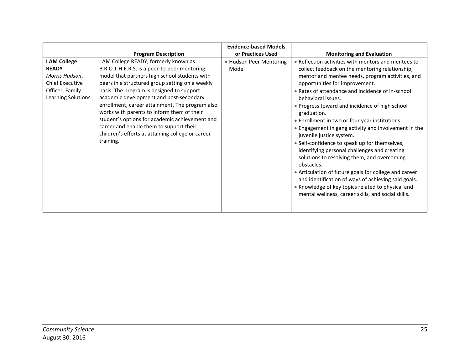|                                                                                                                   |                                                                                                                                                                                                                                                                                                                                                                                                                                                                                                                                                   | <b>Evidence-based Models</b>     |                                                                                                                                                                                                                                                                                                                                                                                                                                                                                                                                                                                                                                                                                                                                                                                                                                                                       |
|-------------------------------------------------------------------------------------------------------------------|---------------------------------------------------------------------------------------------------------------------------------------------------------------------------------------------------------------------------------------------------------------------------------------------------------------------------------------------------------------------------------------------------------------------------------------------------------------------------------------------------------------------------------------------------|----------------------------------|-----------------------------------------------------------------------------------------------------------------------------------------------------------------------------------------------------------------------------------------------------------------------------------------------------------------------------------------------------------------------------------------------------------------------------------------------------------------------------------------------------------------------------------------------------------------------------------------------------------------------------------------------------------------------------------------------------------------------------------------------------------------------------------------------------------------------------------------------------------------------|
|                                                                                                                   | <b>Program Description</b>                                                                                                                                                                                                                                                                                                                                                                                                                                                                                                                        | or Practices Used                | <b>Monitoring and Evaluation</b>                                                                                                                                                                                                                                                                                                                                                                                                                                                                                                                                                                                                                                                                                                                                                                                                                                      |
| I AM College<br><b>READY</b><br>Morris Hudson,<br><b>Chief Executive</b><br>Officer, Family<br>Learning Solutions | I AM College READY, formerly known as<br>B.R.O.T.H.E.R.S, is a peer-to-peer mentoring<br>model that partners high school students with<br>peers in a structured group setting on a weekly<br>basis. The program is designed to support<br>academic development and post-secondary<br>enrollment, career attainment. The program also<br>works with parents to inform them of their<br>student's options for academic achievement and<br>career and enable them to support their<br>children's efforts at attaining college or career<br>training. | • Hudson Peer Mentoring<br>Model | • Reflection activities with mentors and mentees to<br>collect feedback on the mentoring relationship,<br>mentor and mentee needs, program activities, and<br>opportunities for improvement.<br>• Rates of attendance and incidence of in-school<br>behavioral issues.<br>• Progress toward and incidence of high school<br>graduation.<br>• Enrollment in two or four year institutions<br>• Engagement in gang activity and involvement in the<br>juvenile justice system.<br>• Self-confidence to speak up for themselves,<br>identifying personal challenges and creating<br>solutions to resolving them, and overcoming<br>obstacles.<br>• Articulation of future goals for college and career<br>and identification of ways of achieving said goals.<br>• Knowledge of key topics related to physical and<br>mental wellness, career skills, and social skills. |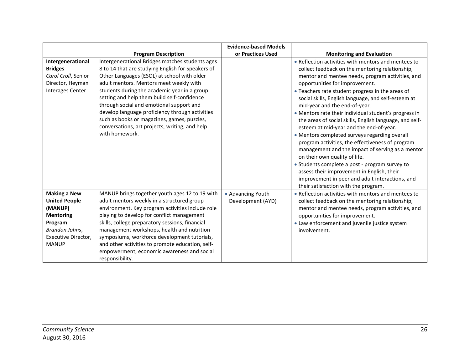|                                                                                                           |                                                                                                                                                                                                                                                                                                                                                                                                                                                                                                                 | <b>Evidence-based Models</b>           |                                                                                                                                                                                                                                                                                                                                                                                                                                                                                                                                                                                                                                                                                                                                                                                                                                                                                              |
|-----------------------------------------------------------------------------------------------------------|-----------------------------------------------------------------------------------------------------------------------------------------------------------------------------------------------------------------------------------------------------------------------------------------------------------------------------------------------------------------------------------------------------------------------------------------------------------------------------------------------------------------|----------------------------------------|----------------------------------------------------------------------------------------------------------------------------------------------------------------------------------------------------------------------------------------------------------------------------------------------------------------------------------------------------------------------------------------------------------------------------------------------------------------------------------------------------------------------------------------------------------------------------------------------------------------------------------------------------------------------------------------------------------------------------------------------------------------------------------------------------------------------------------------------------------------------------------------------|
|                                                                                                           | <b>Program Description</b>                                                                                                                                                                                                                                                                                                                                                                                                                                                                                      | or Practices Used                      | <b>Monitoring and Evaluation</b>                                                                                                                                                                                                                                                                                                                                                                                                                                                                                                                                                                                                                                                                                                                                                                                                                                                             |
| Intergenerational<br><b>Bridges</b><br>Carol Croll, Senior<br>Director, Heyman<br><b>Interages Center</b> | Intergenerational Bridges matches students ages<br>8 to 14 that are studying English for Speakers of<br>Other Languages (ESOL) at school with older<br>adult mentors. Mentors meet weekly with<br>students during the academic year in a group<br>setting and help them build self-confidence<br>through social and emotional support and<br>develop language proficiency through activities<br>such as books or magazines, games, puzzles,<br>conversations, art projects, writing, and help<br>with homework. |                                        | • Reflection activities with mentors and mentees to<br>collect feedback on the mentoring relationship,<br>mentor and mentee needs, program activities, and<br>opportunities for improvement.<br>• Teachers rate student progress in the areas of<br>social skills, English language, and self-esteem at<br>mid-year and the end-of-year.<br>• Mentors rate their individual student's progress in<br>the areas of social skills, English language, and self-<br>esteem at mid-year and the end-of-year.<br>• Mentors completed surveys regarding overall<br>program activities, the effectiveness of program<br>management and the impact of serving as a mentor<br>on their own quality of life.<br>• Students complete a post - program survey to<br>assess their improvement in English, their<br>improvement in peer and adult interactions, and<br>their satisfaction with the program. |
| <b>Making a New</b><br><b>United People</b>                                                               | MANUP brings together youth ages 12 to 19 with<br>adult mentors weekly in a structured group                                                                                                                                                                                                                                                                                                                                                                                                                    | • Advancing Youth<br>Development (AYD) | • Reflection activities with mentors and mentees to<br>collect feedback on the mentoring relationship,                                                                                                                                                                                                                                                                                                                                                                                                                                                                                                                                                                                                                                                                                                                                                                                       |
| (MANUP)<br><b>Mentoring</b>                                                                               | environment. Key program activities include role<br>playing to develop for conflict management                                                                                                                                                                                                                                                                                                                                                                                                                  |                                        | mentor and mentee needs, program activities, and<br>opportunities for improvement.                                                                                                                                                                                                                                                                                                                                                                                                                                                                                                                                                                                                                                                                                                                                                                                                           |
| Program                                                                                                   | skills, college preparatory sessions, financial                                                                                                                                                                                                                                                                                                                                                                                                                                                                 |                                        | • Law enforcement and juvenile justice system                                                                                                                                                                                                                                                                                                                                                                                                                                                                                                                                                                                                                                                                                                                                                                                                                                                |
| Brandon Johns,                                                                                            | management workshops, health and nutrition                                                                                                                                                                                                                                                                                                                                                                                                                                                                      |                                        | involvement.                                                                                                                                                                                                                                                                                                                                                                                                                                                                                                                                                                                                                                                                                                                                                                                                                                                                                 |
| Executive Director,                                                                                       | symposiums, workforce development tutorials,                                                                                                                                                                                                                                                                                                                                                                                                                                                                    |                                        |                                                                                                                                                                                                                                                                                                                                                                                                                                                                                                                                                                                                                                                                                                                                                                                                                                                                                              |
| <b>MANUP</b>                                                                                              | and other activities to promote education, self-                                                                                                                                                                                                                                                                                                                                                                                                                                                                |                                        |                                                                                                                                                                                                                                                                                                                                                                                                                                                                                                                                                                                                                                                                                                                                                                                                                                                                                              |
|                                                                                                           | empowerment, economic awareness and social                                                                                                                                                                                                                                                                                                                                                                                                                                                                      |                                        |                                                                                                                                                                                                                                                                                                                                                                                                                                                                                                                                                                                                                                                                                                                                                                                                                                                                                              |
|                                                                                                           | responsibility.                                                                                                                                                                                                                                                                                                                                                                                                                                                                                                 |                                        |                                                                                                                                                                                                                                                                                                                                                                                                                                                                                                                                                                                                                                                                                                                                                                                                                                                                                              |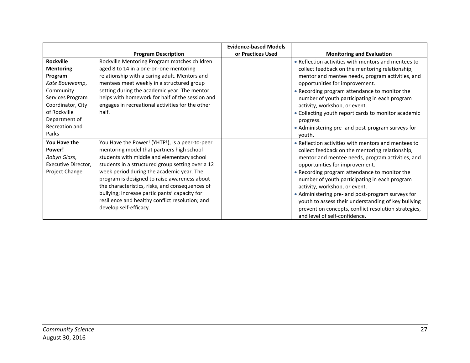|                     |                                                  | <b>Evidence-based Models</b> |                                                      |
|---------------------|--------------------------------------------------|------------------------------|------------------------------------------------------|
|                     | <b>Program Description</b>                       | or Practices Used            | <b>Monitoring and Evaluation</b>                     |
| <b>Rockville</b>    | Rockville Mentoring Program matches children     |                              | • Reflection activities with mentors and mentees to  |
| <b>Mentoring</b>    | aged 8 to 14 in a one-on-one mentoring           |                              | collect feedback on the mentoring relationship,      |
| Program             | relationship with a caring adult. Mentors and    |                              | mentor and mentee needs, program activities, and     |
| Kate Bouwkamp,      | mentees meet weekly in a structured group        |                              | opportunities for improvement.                       |
| Community           | setting during the academic year. The mentor     |                              | • Recording program attendance to monitor the        |
| Services Program    | helps with homework for half of the session and  |                              | number of youth participating in each program        |
| Coordinator, City   | engages in recreational activities for the other |                              | activity, workshop, or event.                        |
| of Rockville        | half.                                            |                              | • Collecting youth report cards to monitor academic  |
| Department of       |                                                  |                              | progress.                                            |
| Recreation and      |                                                  |                              | • Administering pre- and post-program surveys for    |
| Parks               |                                                  |                              | youth.                                               |
| You Have the        | You Have the Power! (YHTP!), is a peer-to-peer   |                              | • Reflection activities with mentors and mentees to  |
| Power!              | mentoring model that partners high school        |                              | collect feedback on the mentoring relationship,      |
| Robyn Glass,        | students with middle and elementary school       |                              | mentor and mentee needs, program activities, and     |
| Executive Director, | students in a structured group setting over a 12 |                              | opportunities for improvement.                       |
| Project Change      | week period during the academic year. The        |                              | • Recording program attendance to monitor the        |
|                     | program is designed to raise awareness about     |                              | number of youth participating in each program        |
|                     | the characteristics, risks, and consequences of  |                              | activity, workshop, or event.                        |
|                     | bullying; increase participants' capacity for    |                              | • Administering pre- and post-program surveys for    |
|                     | resilience and healthy conflict resolution; and  |                              | youth to assess their understanding of key bullying  |
|                     | develop self-efficacy.                           |                              | prevention concepts, conflict resolution strategies, |
|                     |                                                  |                              | and level of self-confidence.                        |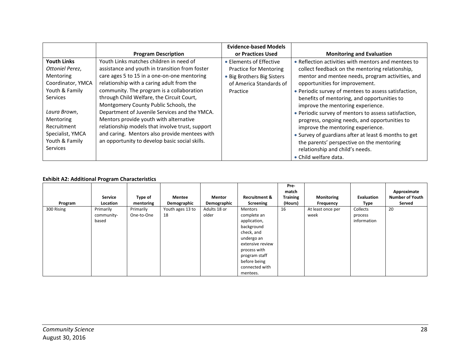|                                                                                                   |                                                                                                                                                                                                                                               | <b>Evidence-based Models</b>                                                    |                                                                                                                                                                                                                                                                                                             |
|---------------------------------------------------------------------------------------------------|-----------------------------------------------------------------------------------------------------------------------------------------------------------------------------------------------------------------------------------------------|---------------------------------------------------------------------------------|-------------------------------------------------------------------------------------------------------------------------------------------------------------------------------------------------------------------------------------------------------------------------------------------------------------|
|                                                                                                   | <b>Program Description</b>                                                                                                                                                                                                                    | or Practices Used                                                               | <b>Monitoring and Evaluation</b>                                                                                                                                                                                                                                                                            |
| <b>Youth Links</b><br>Ottoniel Perez,<br>Mentoring<br>Coordinator, YMCA                           | Youth Links matches children in need of<br>assistance and youth in transition from foster<br>care ages 5 to 15 in a one-on-one mentoring<br>relationship with a caring adult from the                                                         | • Elements of Effective<br>Practice for Mentoring<br>• Big Brothers Big Sisters | • Reflection activities with mentors and mentees to<br>collect feedback on the mentoring relationship,<br>mentor and mentee needs, program activities, and                                                                                                                                                  |
| Youth & Family<br>Services                                                                        | community. The program is a collaboration<br>through Child Welfare, the Circuit Court,<br>Montgomery County Public Schools, the                                                                                                               | of America Standards of<br>Practice                                             | opportunities for improvement.<br>• Periodic survey of mentees to assess satisfaction,<br>benefits of mentoring, and opportunities to<br>improve the mentoring experience.                                                                                                                                  |
| Laura Brown,<br>Mentoring<br>Recruitment<br>Specialist, YMCA<br>Youth & Family<br><b>Services</b> | Department of Juvenile Services and the YMCA.<br>Mentors provide youth with alternative<br>relationship models that involve trust, support<br>and caring. Mentors also provide mentees with<br>an opportunity to develop basic social skills. |                                                                                 | • Periodic survey of mentors to assess satisfaction,<br>progress, ongoing needs, and opportunities to<br>improve the mentoring experience.<br>• Survey of guardians after at least 6 months to get<br>the parents' perspective on the mentoring<br>relationship and child's needs.<br>• Child welfare data. |

#### **Exhibit A2: Additional Program Characteristics**

|            |            |            |                  |               |                          | Pre-<br>match   |                   |             | Approximate            |
|------------|------------|------------|------------------|---------------|--------------------------|-----------------|-------------------|-------------|------------------------|
|            | Service    | Type of    | Mentee           | <b>Mentor</b> | <b>Recruitment &amp;</b> | <b>Training</b> | <b>Monitoring</b> | Evaluation  | <b>Number of Youth</b> |
| Program    | Location   | mentoring  | Demographic      | Demographic   | Screening                | (Hours)         | Frequency         | Type        | Served                 |
| 300 Rising | Primarily  | Primarily  | Youth ages 13 to | Adults 18 or  | <b>Mentors</b>           | 16              | At least once per | Collects    | 20                     |
|            | community- | One-to-One | 18               | older         | complete an              |                 | week              | process     |                        |
|            | based      |            |                  |               | application,             |                 |                   | information |                        |
|            |            |            |                  |               | background               |                 |                   |             |                        |
|            |            |            |                  |               | check, and               |                 |                   |             |                        |
|            |            |            |                  |               | undergo an               |                 |                   |             |                        |
|            |            |            |                  |               | extensive review         |                 |                   |             |                        |
|            |            |            |                  |               | process with             |                 |                   |             |                        |
|            |            |            |                  |               | program staff            |                 |                   |             |                        |
|            |            |            |                  |               | before being             |                 |                   |             |                        |
|            |            |            |                  |               | connected with           |                 |                   |             |                        |
|            |            |            |                  |               | mentees.                 |                 |                   |             |                        |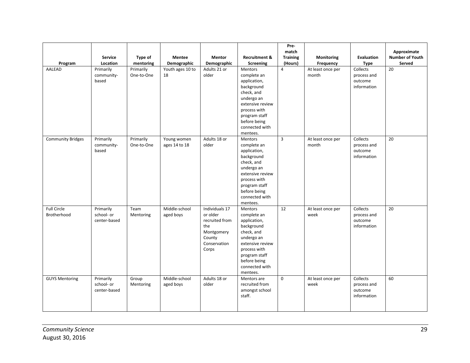|                                   |                                         |                         |                              |                                                                                                      |                                                                                                                                                                                            | Pre-<br>match              |                                |                                                   | Approximate                      |
|-----------------------------------|-----------------------------------------|-------------------------|------------------------------|------------------------------------------------------------------------------------------------------|--------------------------------------------------------------------------------------------------------------------------------------------------------------------------------------------|----------------------------|--------------------------------|---------------------------------------------------|----------------------------------|
| Program                           | Service<br>Location                     | Type of<br>mentoring    | <b>Mentee</b><br>Demographic | <b>Mentor</b><br>Demographic                                                                         | <b>Recruitment &amp;</b><br>Screening                                                                                                                                                      | <b>Training</b><br>(Hours) | <b>Monitoring</b><br>Frequency | <b>Evaluation</b><br><b>Type</b>                  | <b>Number of Youth</b><br>Served |
| AALEAD                            | Primarily<br>community-<br>based        | Primarily<br>One-to-One | Youth ages 10 to<br>18       | Adults 21 or<br>older                                                                                | Mentors<br>complete an<br>application,<br>background<br>check, and<br>undergo an<br>extensive review<br>process with<br>program staff<br>before being<br>connected with<br>mentees.        | $\overline{4}$             | At least once per<br>month     | Collects<br>process and<br>outcome<br>information | 20                               |
| <b>Community Bridges</b>          | Primarily<br>community-<br>based        | Primarily<br>One-to-One | Young women<br>ages 14 to 18 | Adults 18 or<br>older                                                                                | <b>Mentors</b><br>complete an<br>application,<br>background<br>check, and<br>undergo an<br>extensive review<br>process with<br>program staff<br>before being<br>connected with<br>mentees. | $\overline{3}$             | At least once per<br>month     | Collects<br>process and<br>outcome<br>information | 20                               |
| <b>Full Circle</b><br>Brotherhood | Primarily<br>school- or<br>center-based | Team<br>Mentoring       | Middle-school<br>aged boys   | Individuals 17<br>or older<br>recruited from<br>the<br>Montgomery<br>County<br>Conservation<br>Corps | <b>Mentors</b><br>complete an<br>application,<br>background<br>check, and<br>undergo an<br>extensive review<br>process with<br>program staff<br>before being<br>connected with<br>mentees. | 12                         | At least once per<br>week      | Collects<br>process and<br>outcome<br>information | 20                               |
| <b>GUYS Mentoring</b>             | Primarily<br>school- or<br>center-based | Group<br>Mentoring      | Middle-school<br>aged boys   | Adults 18 or<br>older                                                                                | Mentors are<br>recruited from<br>amongst school<br>staff.                                                                                                                                  | $\mathbf 0$                | At least once per<br>week      | Collects<br>process and<br>outcome<br>information | 60                               |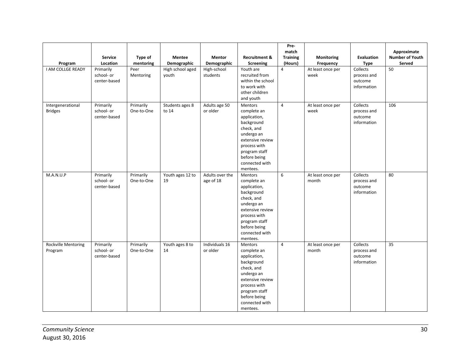| Program                             | <b>Service</b><br>Location              | <b>Type of</b><br>mentoring | <b>Mentee</b><br>Demographic | <b>Mentor</b><br>Demographic | <b>Recruitment &amp;</b><br>Screening                                                                                                                                                      | Pre-<br>match<br><b>Training</b><br>(Hours) | Monitoring<br>Frequency    | Evaluation<br><b>Type</b>                         | Approximate<br>Number of Youth<br>Served |
|-------------------------------------|-----------------------------------------|-----------------------------|------------------------------|------------------------------|--------------------------------------------------------------------------------------------------------------------------------------------------------------------------------------------|---------------------------------------------|----------------------------|---------------------------------------------------|------------------------------------------|
| I AM COLLGE READY                   | Primarily<br>school- or<br>center-based | Peer<br>Mentoring           | High school aged<br>vouth    | High-school<br>students      | Youth are<br>recruited from<br>within the school<br>to work with<br>other children<br>and youth                                                                                            | 4                                           | At least once per<br>week  | Collects<br>process and<br>outcome<br>information | 50                                       |
| Intergenerational<br><b>Bridges</b> | Primarily<br>school- or<br>center-based | Primarily<br>One-to-One     | Students ages 8<br>to 14     | Adults age 50<br>or older    | <b>Mentors</b><br>complete an<br>application,<br>background<br>check, and<br>undergo an<br>extensive review<br>process with<br>program staff<br>before being<br>connected with<br>mentees. | $\overline{4}$                              | At least once per<br>week  | Collects<br>process and<br>outcome<br>information | 106                                      |
| M.A.N.U.P                           | Primarily<br>school- or<br>center-based | Primarily<br>One-to-One     | Youth ages 12 to<br>19       | Adults over the<br>age of 18 | Mentors<br>complete an<br>application,<br>background<br>check, and<br>undergo an<br>extensive review<br>process with<br>program staff<br>before being<br>connected with<br>mentees.        | 6                                           | At least once per<br>month | Collects<br>process and<br>outcome<br>information | 80                                       |
| Rockville Mentoring<br>Program      | Primarily<br>school- or<br>center-based | Primarily<br>One-to-One     | Youth ages 8 to<br>14        | Individuals 16<br>or older   | Mentors<br>complete an<br>application,<br>background<br>check, and<br>undergo an<br>extensive review<br>process with<br>program staff<br>before being<br>connected with<br>mentees.        | 4                                           | At least once per<br>month | Collects<br>process and<br>outcome<br>information | 35                                       |